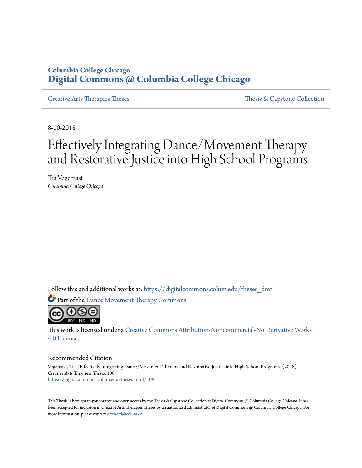# **Columbia College Chicago [Digital Commons @ Columbia College Chicago](https://digitalcommons.colum.edu?utm_source=digitalcommons.colum.edu%2Ftheses_dmt%2F108&utm_medium=PDF&utm_campaign=PDFCoverPages)**

[Creative Arts Therapies Theses](https://digitalcommons.colum.edu/theses_dmt?utm_source=digitalcommons.colum.edu%2Ftheses_dmt%2F108&utm_medium=PDF&utm_campaign=PDFCoverPages) [Thesis & Capstone Collection](https://digitalcommons.colum.edu/thesiscoll?utm_source=digitalcommons.colum.edu%2Ftheses_dmt%2F108&utm_medium=PDF&utm_campaign=PDFCoverPages)

8-10-2018

# Effectively Integrating Dance/Movement Therapy and Restorative Justice into High School Programs

Tia Vegemast *Columbia College Chicago*

Follow this and additional works at: [https://digitalcommons.colum.edu/theses\\_dmt](https://digitalcommons.colum.edu/theses_dmt?utm_source=digitalcommons.colum.edu%2Ftheses_dmt%2F108&utm_medium=PDF&utm_campaign=PDFCoverPages)

Part of the [Dance Movement Therapy Commons](http://network.bepress.com/hgg/discipline/1150?utm_source=digitalcommons.colum.edu%2Ftheses_dmt%2F108&utm_medium=PDF&utm_campaign=PDFCoverPages)



This work is licensed under a [Creative Commons Attribution-Noncommercial-No Derivative Works](http://creativecommons.org/licenses/by-nc-nd/4.0/) [4.0 License.](http://creativecommons.org/licenses/by-nc-nd/4.0/)

#### Recommended Citation

Vegemast, Tia, "Effectively Integrating Dance/Movement Therapy and Restorative Justice into High School Programs" (2018). *Creative Arts Therapies Theses*. 108. [https://digitalcommons.colum.edu/theses\\_dmt/108](https://digitalcommons.colum.edu/theses_dmt/108?utm_source=digitalcommons.colum.edu%2Ftheses_dmt%2F108&utm_medium=PDF&utm_campaign=PDFCoverPages)

This Thesis is brought to you for free and open access by the Thesis & Capstone Collection at Digital Commons @ Columbia College Chicago. It has been accepted for inclusion in Creative Arts Therapies Theses by an authorized administrator of Digital Commons @ Columbia College Chicago. For more information, please contact [drossetti@colum.edu.](mailto:drossetti@colum.edu)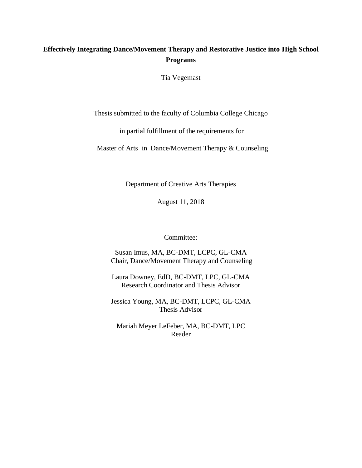## **Effectively Integrating Dance/Movement Therapy and Restorative Justice into High School Programs**

Tia Vegemast

Thesis submitted to the faculty of Columbia College Chicago

in partial fulfillment of the requirements for

Master of Arts in Dance/Movement Therapy & Counseling

Department of Creative Arts Therapies

August 11, 2018

Committee:

Susan Imus, MA, BC-DMT, LCPC, GL-CMA Chair, Dance/Movement Therapy and Counseling

Laura Downey, EdD, BC-DMT, LPC, GL-CMA Research Coordinator and Thesis Advisor

Jessica Young, MA, BC-DMT, LCPC, GL-CMA Thesis Advisor

Mariah Meyer LeFeber, MA, BC-DMT, LPC Reader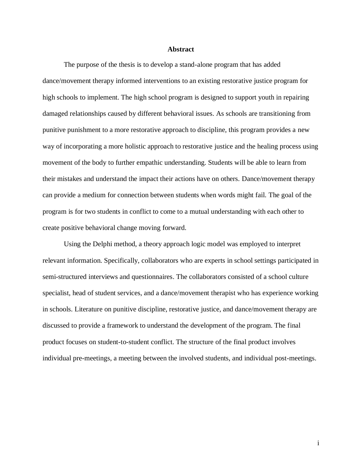#### **Abstract**

The purpose of the thesis is to develop a stand-alone program that has added dance/movement therapy informed interventions to an existing restorative justice program for high schools to implement. The high school program is designed to support youth in repairing damaged relationships caused by different behavioral issues. As schools are transitioning from punitive punishment to a more restorative approach to discipline, this program provides a new way of incorporating a more holistic approach to restorative justice and the healing process using movement of the body to further empathic understanding. Students will be able to learn from their mistakes and understand the impact their actions have on others. Dance/movement therapy can provide a medium for connection between students when words might fail. The goal of the program is for two students in conflict to come to a mutual understanding with each other to create positive behavioral change moving forward.

Using the Delphi method, a theory approach logic model was employed to interpret relevant information. Specifically, collaborators who are experts in school settings participated in semi-structured interviews and questionnaires. The collaborators consisted of a school culture specialist, head of student services, and a dance/movement therapist who has experience working in schools. Literature on punitive discipline, restorative justice, and dance/movement therapy are discussed to provide a framework to understand the development of the program. The final product focuses on student-to-student conflict. The structure of the final product involves individual pre-meetings, a meeting between the involved students, and individual post-meetings.

i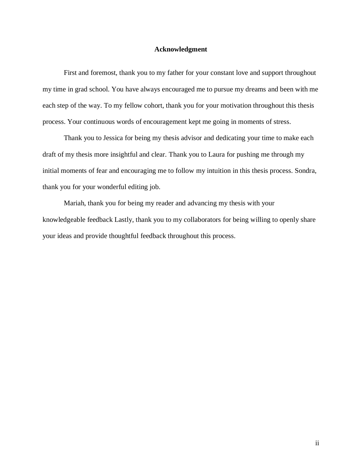### **Acknowledgment**

First and foremost, thank you to my father for your constant love and support throughout my time in grad school. You have always encouraged me to pursue my dreams and been with me each step of the way. To my fellow cohort, thank you for your motivation throughout this thesis process. Your continuous words of encouragement kept me going in moments of stress.

Thank you to Jessica for being my thesis advisor and dedicating your time to make each draft of my thesis more insightful and clear. Thank you to Laura for pushing me through my initial moments of fear and encouraging me to follow my intuition in this thesis process. Sondra, thank you for your wonderful editing job.

Mariah, thank you for being my reader and advancing my thesis with your knowledgeable feedback Lastly, thank you to my collaborators for being willing to openly share your ideas and provide thoughtful feedback throughout this process.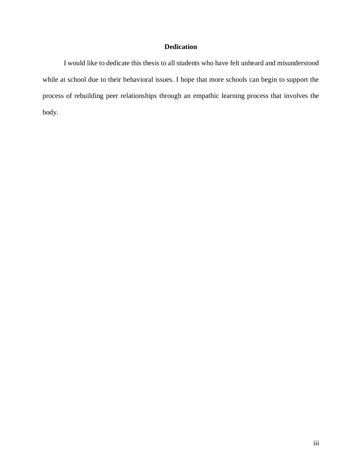## **Dedication**

I would like to dedicate this thesis to all students who have felt unheard and misunderstood while at school due to their behavioral issues. I hope that more schools can begin to support the process of rebuilding peer relationships through an empathic learning process that involves the body.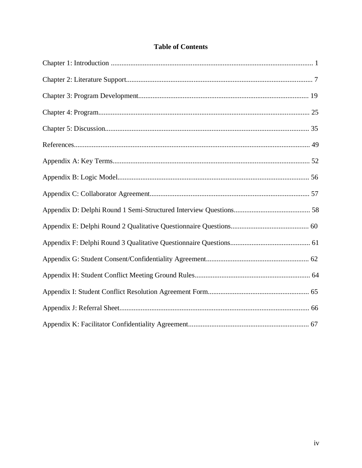| <b>Table of Contents</b> |
|--------------------------|
|--------------------------|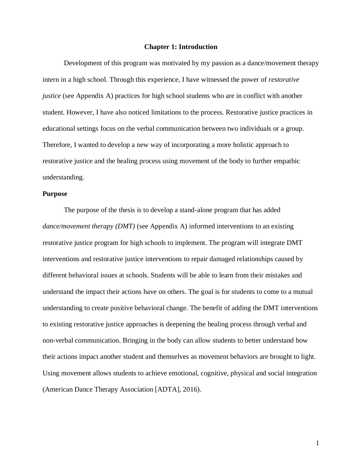#### **Chapter 1: Introduction**

Development of this program was motivated by my passion as a dance/movement therapy intern in a high school. Through this experience, I have witnessed the power of *restorative justice* (see Appendix A) practices for high school students who are in conflict with another student. However, I have also noticed limitations to the process. Restorative justice practices in educational settings focus on the verbal communication between two individuals or a group. Therefore, I wanted to develop a new way of incorporating a more holistic approach to restorative justice and the healing process using movement of the body to further empathic understanding.

#### **Purpose**

The purpose of the thesis is to develop a stand-alone program that has added *dance/movement therapy (DMT)* (see Appendix A) informed interventions to an existing restorative justice program for high schools to implement. The program will integrate DMT interventions and restorative justice interventions to repair damaged relationships caused by different behavioral issues at schools. Students will be able to learn from their mistakes and understand the impact their actions have on others. The goal is for students to come to a mutual understanding to create positive behavioral change. The benefit of adding the DMT interventions to existing restorative justice approaches is deepening the healing process through verbal and non-verbal communication. Bringing in the body can allow students to better understand how their actions impact another student and themselves as movement behaviors are brought to light. Using movement allows students to achieve emotional, cognitive, physical and social integration (American Dance Therapy Association [ADTA], 2016).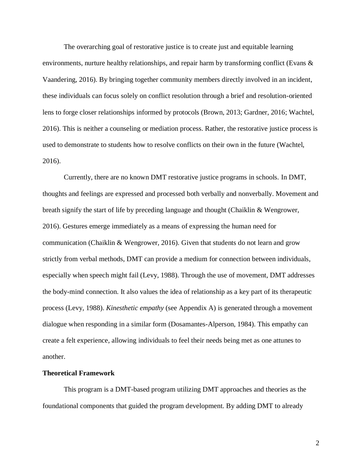The overarching goal of restorative justice is to create just and equitable learning environments, nurture healthy relationships, and repair harm by transforming conflict (Evans  $\&$ Vaandering, 2016). By bringing together community members directly involved in an incident, these individuals can focus solely on conflict resolution through a brief and resolution-oriented lens to forge closer relationships informed by protocols (Brown, 2013; Gardner, 2016; Wachtel, 2016). This is neither a counseling or mediation process. Rather, the restorative justice process is used to demonstrate to students how to resolve conflicts on their own in the future (Wachtel, 2016).

Currently, there are no known DMT restorative justice programs in schools. In DMT, thoughts and feelings are expressed and processed both verbally and nonverbally. Movement and breath signify the start of life by preceding language and thought (Chaiklin & Wengrower, 2016). Gestures emerge immediately as a means of expressing the human need for communication (Chaiklin & Wengrower, 2016). Given that students do not learn and grow strictly from verbal methods, DMT can provide a medium for connection between individuals, especially when speech might fail (Levy, 1988). Through the use of movement, DMT addresses the body-mind connection. It also values the idea of relationship as a key part of its therapeutic process (Levy, 1988). *Kinesthetic empathy* (see Appendix A) is generated through a movement dialogue when responding in a similar form (Dosamantes-Alperson, 1984). This empathy can create a felt experience, allowing individuals to feel their needs being met as one attunes to another.

#### **Theoretical Framework**

This program is a DMT-based program utilizing DMT approaches and theories as the foundational components that guided the program development. By adding DMT to already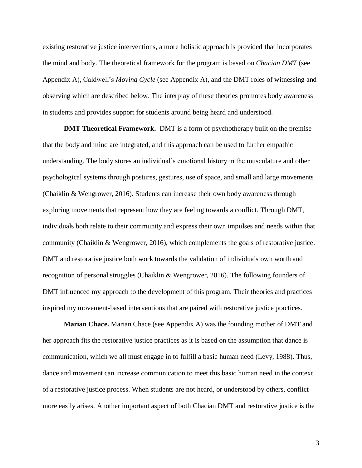existing restorative justice interventions, a more holistic approach is provided that incorporates the mind and body. The theoretical framework for the program is based on *Chacian DMT* (see Appendix A), Caldwell's *Moving Cycle* (see Appendix A), and the DMT roles of witnessing and observing which are described below. The interplay of these theories promotes body awareness in students and provides support for students around being heard and understood.

**DMT Theoretical Framework.** DMT is a form of psychotherapy built on the premise that the body and mind are integrated, and this approach can be used to further empathic understanding. The body stores an individual's emotional history in the musculature and other psychological systems through postures, gestures, use of space, and small and large movements (Chaiklin & Wengrower, 2016). Students can increase their own body awareness through exploring movements that represent how they are feeling towards a conflict. Through DMT, individuals both relate to their community and express their own impulses and needs within that community (Chaiklin & Wengrower, 2016), which complements the goals of restorative justice. DMT and restorative justice both work towards the validation of individuals own worth and recognition of personal struggles (Chaiklin & Wengrower, 2016). The following founders of DMT influenced my approach to the development of this program. Their theories and practices inspired my movement-based interventions that are paired with restorative justice practices.

**Marian Chace.** Marian Chace (see Appendix A) was the founding mother of DMT and her approach fits the restorative justice practices as it is based on the assumption that dance is communication, which we all must engage in to fulfill a basic human need (Levy, 1988). Thus, dance and movement can increase communication to meet this basic human need in the context of a restorative justice process. When students are not heard, or understood by others, conflict more easily arises. Another important aspect of both Chacian DMT and restorative justice is the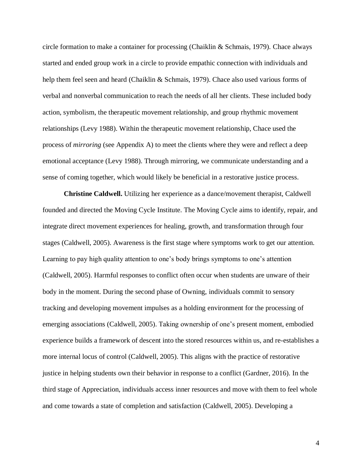circle formation to make a container for processing (Chaiklin & Schmais, 1979). Chace always started and ended group work in a circle to provide empathic connection with individuals and help them feel seen and heard (Chaiklin & Schmais, 1979). Chace also used various forms of verbal and nonverbal communication to reach the needs of all her clients. These included body action, symbolism, the therapeutic movement relationship, and group rhythmic movement relationships (Levy 1988). Within the therapeutic movement relationship, Chace used the process of *mirroring* (see Appendix A) to meet the clients where they were and reflect a deep emotional acceptance (Levy 1988). Through mirroring, we communicate understanding and a sense of coming together, which would likely be beneficial in a restorative justice process.

**Christine Caldwell.** Utilizing her experience as a dance/movement therapist, Caldwell founded and directed the Moving Cycle Institute. The Moving Cycle aims to identify, repair, and integrate direct movement experiences for healing, growth, and transformation through four stages (Caldwell, 2005). Awareness is the first stage where symptoms work to get our attention. Learning to pay high quality attention to one's body brings symptoms to one's attention (Caldwell, 2005). Harmful responses to conflict often occur when students are unware of their body in the moment. During the second phase of Owning, individuals commit to sensory tracking and developing movement impulses as a holding environment for the processing of emerging associations (Caldwell, 2005). Taking ownership of one's present moment, embodied experience builds a framework of descent into the stored resources within us, and re-establishes a more internal locus of control (Caldwell, 2005). This aligns with the practice of restorative justice in helping students own their behavior in response to a conflict (Gardner, 2016). In the third stage of Appreciation, individuals access inner resources and move with them to feel whole and come towards a state of completion and satisfaction (Caldwell, 2005). Developing a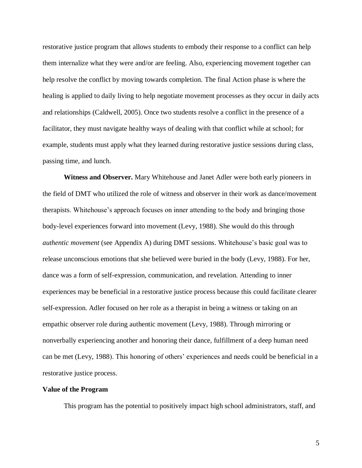restorative justice program that allows students to embody their response to a conflict can help them internalize what they were and/or are feeling. Also, experiencing movement together can help resolve the conflict by moving towards completion. The final Action phase is where the healing is applied to daily living to help negotiate movement processes as they occur in daily acts and relationships (Caldwell, 2005). Once two students resolve a conflict in the presence of a facilitator, they must navigate healthy ways of dealing with that conflict while at school; for example, students must apply what they learned during restorative justice sessions during class, passing time, and lunch.

**Witness and Observer.** Mary Whitehouse and Janet Adler were both early pioneers in the field of DMT who utilized the role of witness and observer in their work as dance/movement therapists. Whitehouse's approach focuses on inner attending to the body and bringing those body-level experiences forward into movement (Levy, 1988). She would do this through *authentic movement* (see Appendix A) during DMT sessions. Whitehouse's basic goal was to release unconscious emotions that she believed were buried in the body (Levy, 1988). For her, dance was a form of self-expression, communication, and revelation. Attending to inner experiences may be beneficial in a restorative justice process because this could facilitate clearer self-expression. Adler focused on her role as a therapist in being a witness or taking on an empathic observer role during authentic movement (Levy, 1988). Through mirroring or nonverbally experiencing another and honoring their dance, fulfillment of a deep human need can be met (Levy, 1988). This honoring of others' experiences and needs could be beneficial in a restorative justice process.

#### **Value of the Program**

This program has the potential to positively impact high school administrators, staff, and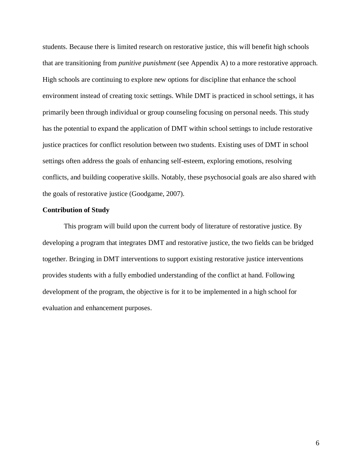students. Because there is limited research on restorative justice, this will benefit high schools that are transitioning from *punitive punishment* (see Appendix A) to a more restorative approach. High schools are continuing to explore new options for discipline that enhance the school environment instead of creating toxic settings. While DMT is practiced in school settings, it has primarily been through individual or group counseling focusing on personal needs. This study has the potential to expand the application of DMT within school settings to include restorative justice practices for conflict resolution between two students. Existing uses of DMT in school settings often address the goals of enhancing self-esteem, exploring emotions, resolving conflicts, and building cooperative skills. Notably, these psychosocial goals are also shared with the goals of restorative justice (Goodgame, 2007).

#### **Contribution of Study**

This program will build upon the current body of literature of restorative justice. By developing a program that integrates DMT and restorative justice, the two fields can be bridged together. Bringing in DMT interventions to support existing restorative justice interventions provides students with a fully embodied understanding of the conflict at hand. Following development of the program, the objective is for it to be implemented in a high school for evaluation and enhancement purposes.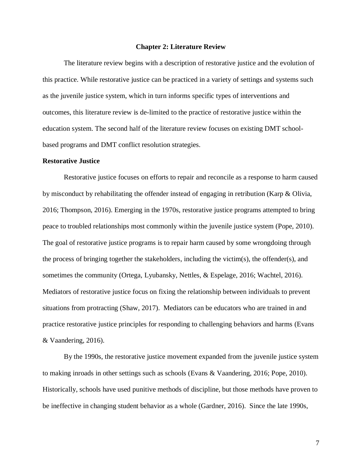#### **Chapter 2: Literature Review**

The literature review begins with a description of restorative justice and the evolution of this practice. While restorative justice can be practiced in a variety of settings and systems such as the juvenile justice system, which in turn informs specific types of interventions and outcomes, this literature review is de-limited to the practice of restorative justice within the education system. The second half of the literature review focuses on existing DMT schoolbased programs and DMT conflict resolution strategies.

#### **Restorative Justice**

Restorative justice focuses on efforts to repair and reconcile as a response to harm caused by misconduct by rehabilitating the offender instead of engaging in retribution (Karp & Olivia, 2016; Thompson, 2016). Emerging in the 1970s, restorative justice programs attempted to bring peace to troubled relationships most commonly within the juvenile justice system (Pope, 2010). The goal of restorative justice programs is to repair harm caused by some wrongdoing through the process of bringing together the stakeholders, including the victim(s), the offender(s), and sometimes the community (Ortega, Lyubansky, Nettles, & Espelage, 2016; Wachtel, 2016). Mediators of restorative justice focus on fixing the relationship between individuals to prevent situations from protracting (Shaw, 2017). Mediators can be educators who are trained in and practice restorative justice principles for responding to challenging behaviors and harms (Evans & Vaandering, 2016).

By the 1990s, the restorative justice movement expanded from the juvenile justice system to making inroads in other settings such as schools (Evans & Vaandering, 2016; Pope, 2010). Historically, schools have used punitive methods of discipline, but those methods have proven to be ineffective in changing student behavior as a whole (Gardner, 2016). Since the late 1990s,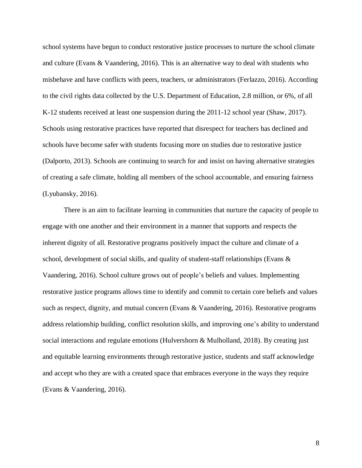school systems have begun to conduct restorative justice processes to nurture the school climate and culture (Evans & Vaandering, 2016). This is an alternative way to deal with students who misbehave and have conflicts with peers, teachers, or administrators (Ferlazzo, 2016). According to the civil rights data collected by the U.S. Department of Education, 2.8 million, or 6%, of all K-12 students received at least one suspension during the 2011-12 school year (Shaw, 2017). Schools using restorative practices have reported that disrespect for teachers has declined and schools have become safer with students focusing more on studies due to restorative justice (Dalporto, 2013). Schools are continuing to search for and insist on having alternative strategies of creating a safe climate, holding all members of the school accountable, and ensuring fairness (Lyubansky, 2016).

There is an aim to facilitate learning in communities that nurture the capacity of people to engage with one another and their environment in a manner that supports and respects the inherent dignity of all. Restorative programs positively impact the culture and climate of a school, development of social skills, and quality of student-staff relationships (Evans & Vaandering, 2016). School culture grows out of people's beliefs and values. Implementing restorative justice programs allows time to identify and commit to certain core beliefs and values such as respect, dignity, and mutual concern (Evans & Vaandering, 2016). Restorative programs address relationship building, conflict resolution skills, and improving one's ability to understand social interactions and regulate emotions (Hulvershorn & Mulholland, 2018). By creating just and equitable learning environments through restorative justice, students and staff acknowledge and accept who they are with a created space that embraces everyone in the ways they require (Evans & Vaandering, 2016).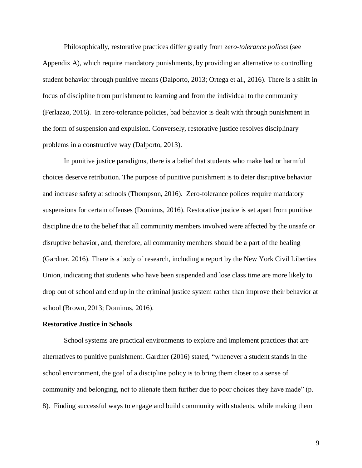Philosophically, restorative practices differ greatly from *zero-tolerance polices* (see Appendix A), which require mandatory punishments, by providing an alternative to controlling student behavior through punitive means (Dalporto, 2013; Ortega et al., 2016). There is a shift in focus of discipline from punishment to learning and from the individual to the community (Ferlazzo, 2016). In zero-tolerance policies, bad behavior is dealt with through punishment in the form of suspension and expulsion. Conversely, restorative justice resolves disciplinary problems in a constructive way (Dalporto, 2013).

In punitive justice paradigms, there is a belief that students who make bad or harmful choices deserve retribution. The purpose of punitive punishment is to deter disruptive behavior and increase safety at schools (Thompson, 2016). Zero-tolerance polices require mandatory suspensions for certain offenses (Dominus, 2016). Restorative justice is set apart from punitive discipline due to the belief that all community members involved were affected by the unsafe or disruptive behavior, and, therefore, all community members should be a part of the healing (Gardner, 2016). There is a body of research, including a report by the New York Civil Liberties Union, indicating that students who have been suspended and lose class time are more likely to drop out of school and end up in the criminal justice system rather than improve their behavior at school (Brown, 2013; Dominus, 2016).

#### **Restorative Justice in Schools**

School systems are practical environments to explore and implement practices that are alternatives to punitive punishment. Gardner (2016) stated, "whenever a student stands in the school environment, the goal of a discipline policy is to bring them closer to a sense of community and belonging, not to alienate them further due to poor choices they have made" (p. 8). Finding successful ways to engage and build community with students, while making them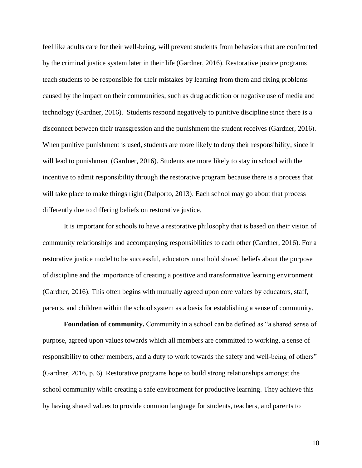feel like adults care for their well-being, will prevent students from behaviors that are confronted by the criminal justice system later in their life (Gardner, 2016). Restorative justice programs teach students to be responsible for their mistakes by learning from them and fixing problems caused by the impact on their communities, such as drug addiction or negative use of media and technology (Gardner, 2016). Students respond negatively to punitive discipline since there is a disconnect between their transgression and the punishment the student receives (Gardner, 2016). When punitive punishment is used, students are more likely to deny their responsibility, since it will lead to punishment (Gardner, 2016). Students are more likely to stay in school with the incentive to admit responsibility through the restorative program because there is a process that will take place to make things right (Dalporto, 2013). Each school may go about that process differently due to differing beliefs on restorative justice.

It is important for schools to have a restorative philosophy that is based on their vision of community relationships and accompanying responsibilities to each other (Gardner, 2016). For a restorative justice model to be successful, educators must hold shared beliefs about the purpose of discipline and the importance of creating a positive and transformative learning environment (Gardner, 2016). This often begins with mutually agreed upon core values by educators, staff, parents, and children within the school system as a basis for establishing a sense of community.

**Foundation of community.** Community in a school can be defined as "a shared sense of purpose, agreed upon values towards which all members are committed to working, a sense of responsibility to other members, and a duty to work towards the safety and well-being of others" (Gardner, 2016, p. 6). Restorative programs hope to build strong relationships amongst the school community while creating a safe environment for productive learning. They achieve this by having shared values to provide common language for students, teachers, and parents to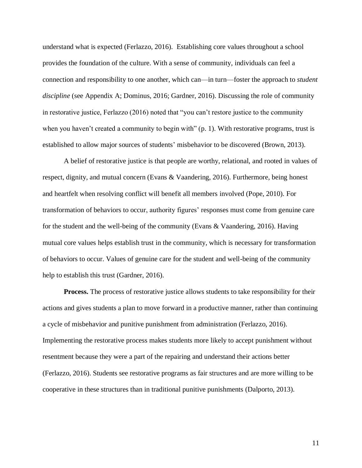understand what is expected (Ferlazzo, 2016). Establishing core values throughout a school provides the foundation of the culture. With a sense of community, individuals can feel a connection and responsibility to one another, which can—in turn—foster the approach to *student discipline* (see Appendix A; Dominus, 2016; Gardner, 2016). Discussing the role of community in restorative justice, Ferlazzo (2016) noted that "you can't restore justice to the community when you haven't created a community to begin with" (p. 1). With restorative programs, trust is established to allow major sources of students' misbehavior to be discovered (Brown, 2013).

A belief of restorative justice is that people are worthy, relational, and rooted in values of respect, dignity, and mutual concern (Evans & Vaandering, 2016). Furthermore, being honest and heartfelt when resolving conflict will benefit all members involved (Pope, 2010). For transformation of behaviors to occur, authority figures' responses must come from genuine care for the student and the well-being of the community (Evans & Vaandering, 2016). Having mutual core values helps establish trust in the community, which is necessary for transformation of behaviors to occur. Values of genuine care for the student and well-being of the community help to establish this trust (Gardner, 2016).

**Process.** The process of restorative justice allows students to take responsibility for their actions and gives students a plan to move forward in a productive manner, rather than continuing a cycle of misbehavior and punitive punishment from administration (Ferlazzo, 2016). Implementing the restorative process makes students more likely to accept punishment without resentment because they were a part of the repairing and understand their actions better (Ferlazzo, 2016). Students see restorative programs as fair structures and are more willing to be cooperative in these structures than in traditional punitive punishments (Dalporto, 2013).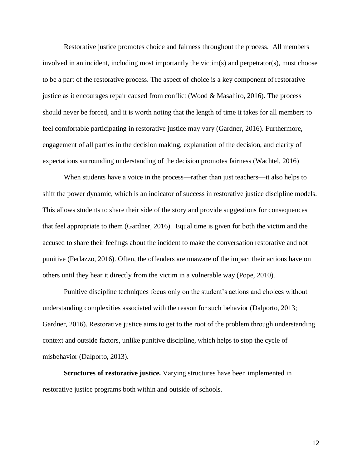Restorative justice promotes choice and fairness throughout the process. All members involved in an incident, including most importantly the victim(s) and perpetrator(s), must choose to be a part of the restorative process. The aspect of choice is a key component of restorative justice as it encourages repair caused from conflict (Wood & Masahiro, 2016). The process should never be forced, and it is worth noting that the length of time it takes for all members to feel comfortable participating in restorative justice may vary (Gardner, 2016). Furthermore, engagement of all parties in the decision making, explanation of the decision, and clarity of expectations surrounding understanding of the decision promotes fairness (Wachtel, 2016)

When students have a voice in the process—rather than just teachers—it also helps to shift the power dynamic, which is an indicator of success in restorative justice discipline models. This allows students to share their side of the story and provide suggestions for consequences that feel appropriate to them (Gardner, 2016). Equal time is given for both the victim and the accused to share their feelings about the incident to make the conversation restorative and not punitive (Ferlazzo, 2016). Often, the offenders are unaware of the impact their actions have on others until they hear it directly from the victim in a vulnerable way (Pope, 2010).

Punitive discipline techniques focus only on the student's actions and choices without understanding complexities associated with the reason for such behavior (Dalporto, 2013; Gardner, 2016). Restorative justice aims to get to the root of the problem through understanding context and outside factors, unlike punitive discipline, which helps to stop the cycle of misbehavior (Dalporto, 2013).

**Structures of restorative justice.** Varying structures have been implemented in restorative justice programs both within and outside of schools.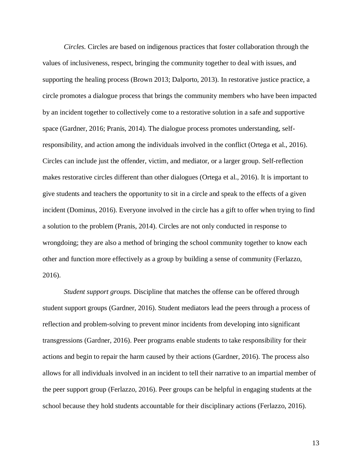*Circles.* Circles are based on indigenous practices that foster collaboration through the values of inclusiveness, respect, bringing the community together to deal with issues, and supporting the healing process (Brown 2013; Dalporto, 2013). In restorative justice practice, a circle promotes a dialogue process that brings the community members who have been impacted by an incident together to collectively come to a restorative solution in a safe and supportive space (Gardner, 2016; Pranis, 2014). The dialogue process promotes understanding, selfresponsibility, and action among the individuals involved in the conflict (Ortega et al., 2016). Circles can include just the offender, victim, and mediator, or a larger group. Self-reflection makes restorative circles different than other dialogues (Ortega et al., 2016). It is important to give students and teachers the opportunity to sit in a circle and speak to the effects of a given incident (Dominus, 2016). Everyone involved in the circle has a gift to offer when trying to find a solution to the problem (Pranis, 2014). Circles are not only conducted in response to wrongdoing; they are also a method of bringing the school community together to know each other and function more effectively as a group by building a sense of community (Ferlazzo, 2016).

*Student support groups.* Discipline that matches the offense can be offered through student support groups (Gardner, 2016). Student mediators lead the peers through a process of reflection and problem-solving to prevent minor incidents from developing into significant transgressions (Gardner, 2016). Peer programs enable students to take responsibility for their actions and begin to repair the harm caused by their actions (Gardner, 2016). The process also allows for all individuals involved in an incident to tell their narrative to an impartial member of the peer support group (Ferlazzo, 2016). Peer groups can be helpful in engaging students at the school because they hold students accountable for their disciplinary actions (Ferlazzo, 2016).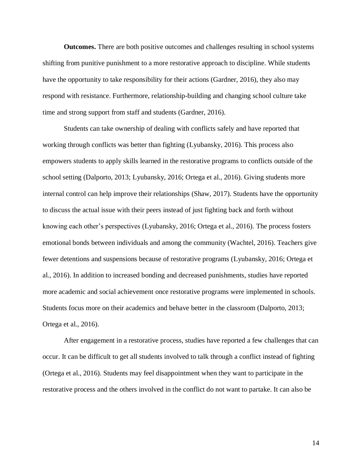**Outcomes.** There are both positive outcomes and challenges resulting in school systems shifting from punitive punishment to a more restorative approach to discipline. While students have the opportunity to take responsibility for their actions (Gardner, 2016), they also may respond with resistance. Furthermore, relationship-building and changing school culture take time and strong support from staff and students (Gardner, 2016).

Students can take ownership of dealing with conflicts safely and have reported that working through conflicts was better than fighting (Lyubansky, 2016). This process also empowers students to apply skills learned in the restorative programs to conflicts outside of the school setting (Dalporto, 2013; Lyubansky, 2016; Ortega et al., 2016). Giving students more internal control can help improve their relationships (Shaw, 2017). Students have the opportunity to discuss the actual issue with their peers instead of just fighting back and forth without knowing each other's perspectives (Lyubansky, 2016; Ortega et al., 2016). The process fosters emotional bonds between individuals and among the community (Wachtel, 2016). Teachers give fewer detentions and suspensions because of restorative programs (Lyubansky, 2016; Ortega et al., 2016). In addition to increased bonding and decreased punishments, studies have reported more academic and social achievement once restorative programs were implemented in schools. Students focus more on their academics and behave better in the classroom (Dalporto, 2013; Ortega et al., 2016).

After engagement in a restorative process, studies have reported a few challenges that can occur. It can be difficult to get all students involved to talk through a conflict instead of fighting (Ortega et al., 2016). Students may feel disappointment when they want to participate in the restorative process and the others involved in the conflict do not want to partake. It can also be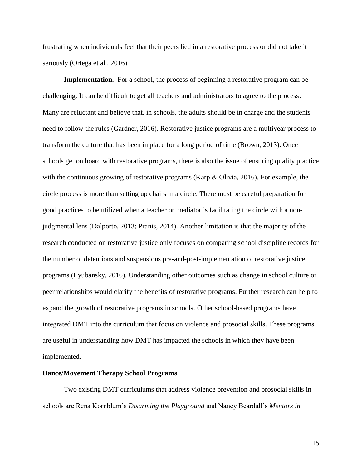frustrating when individuals feel that their peers lied in a restorative process or did not take it seriously (Ortega et al., 2016).

**Implementation.** For a school, the process of beginning a restorative program can be challenging. It can be difficult to get all teachers and administrators to agree to the process. Many are reluctant and believe that, in schools, the adults should be in charge and the students need to follow the rules (Gardner, 2016). Restorative justice programs are a multiyear process to transform the culture that has been in place for a long period of time (Brown, 2013). Once schools get on board with restorative programs, there is also the issue of ensuring quality practice with the continuous growing of restorative programs (Karp & Olivia, 2016). For example, the circle process is more than setting up chairs in a circle. There must be careful preparation for good practices to be utilized when a teacher or mediator is facilitating the circle with a nonjudgmental lens (Dalporto, 2013; Pranis, 2014). Another limitation is that the majority of the research conducted on restorative justice only focuses on comparing school discipline records for the number of detentions and suspensions pre-and-post-implementation of restorative justice programs (Lyubansky, 2016). Understanding other outcomes such as change in school culture or peer relationships would clarify the benefits of restorative programs. Further research can help to expand the growth of restorative programs in schools. Other school-based programs have integrated DMT into the curriculum that focus on violence and prosocial skills. These programs are useful in understanding how DMT has impacted the schools in which they have been implemented.

#### **Dance/Movement Therapy School Programs**

Two existing DMT curriculums that address violence prevention and prosocial skills in schools are Rena Kornblum's *Disarming the Playground* and Nancy Beardall's *Mentors in*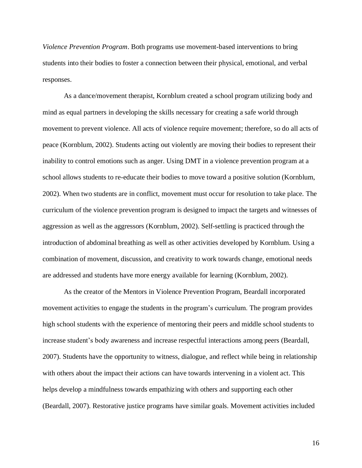*Violence Prevention Program*. Both programs use movement-based interventions to bring students into their bodies to foster a connection between their physical, emotional, and verbal responses.

As a dance/movement therapist, Kornblum created a school program utilizing body and mind as equal partners in developing the skills necessary for creating a safe world through movement to prevent violence. All acts of violence require movement; therefore, so do all acts of peace (Kornblum, 2002). Students acting out violently are moving their bodies to represent their inability to control emotions such as anger. Using DMT in a violence prevention program at a school allows students to re-educate their bodies to move toward a positive solution (Kornblum, 2002). When two students are in conflict, movement must occur for resolution to take place. The curriculum of the violence prevention program is designed to impact the targets and witnesses of aggression as well as the aggressors (Kornblum, 2002). Self-settling is practiced through the introduction of abdominal breathing as well as other activities developed by Kornblum. Using a combination of movement, discussion, and creativity to work towards change, emotional needs are addressed and students have more energy available for learning (Kornblum, 2002).

As the creator of the Mentors in Violence Prevention Program, Beardall incorporated movement activities to engage the students in the program's curriculum. The program provides high school students with the experience of mentoring their peers and middle school students to increase student's body awareness and increase respectful interactions among peers (Beardall, 2007). Students have the opportunity to witness, dialogue, and reflect while being in relationship with others about the impact their actions can have towards intervening in a violent act. This helps develop a mindfulness towards empathizing with others and supporting each other (Beardall, 2007). Restorative justice programs have similar goals. Movement activities included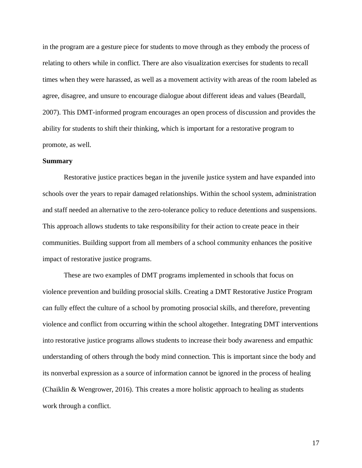in the program are a gesture piece for students to move through as they embody the process of relating to others while in conflict. There are also visualization exercises for students to recall times when they were harassed, as well as a movement activity with areas of the room labeled as agree, disagree, and unsure to encourage dialogue about different ideas and values (Beardall, 2007). This DMT-informed program encourages an open process of discussion and provides the ability for students to shift their thinking, which is important for a restorative program to promote, as well.

#### **Summary**

Restorative justice practices began in the juvenile justice system and have expanded into schools over the years to repair damaged relationships. Within the school system, administration and staff needed an alternative to the zero-tolerance policy to reduce detentions and suspensions. This approach allows students to take responsibility for their action to create peace in their communities. Building support from all members of a school community enhances the positive impact of restorative justice programs.

These are two examples of DMT programs implemented in schools that focus on violence prevention and building prosocial skills. Creating a DMT Restorative Justice Program can fully effect the culture of a school by promoting prosocial skills, and therefore, preventing violence and conflict from occurring within the school altogether. Integrating DMT interventions into restorative justice programs allows students to increase their body awareness and empathic understanding of others through the body mind connection. This is important since the body and its nonverbal expression as a source of information cannot be ignored in the process of healing (Chaiklin & Wengrower, 2016). This creates a more holistic approach to healing as students work through a conflict.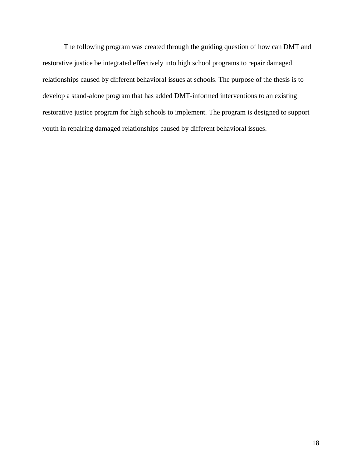The following program was created through the guiding question of how can DMT and restorative justice be integrated effectively into high school programs to repair damaged relationships caused by different behavioral issues at schools. The purpose of the thesis is to develop a stand-alone program that has added DMT-informed interventions to an existing restorative justice program for high schools to implement. The program is designed to support youth in repairing damaged relationships caused by different behavioral issues.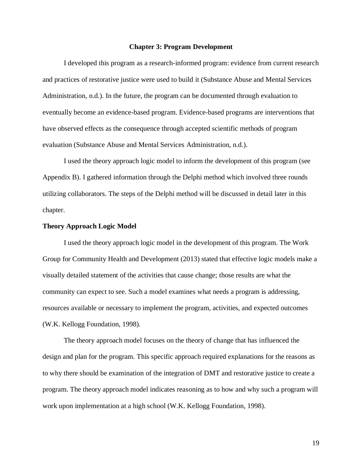#### **Chapter 3: Program Development**

I developed this program as a research-informed program: evidence from current research and practices of restorative justice were used to build it (Substance Abuse and Mental Services Administration, n.d.). In the future, the program can be documented through evaluation to eventually become an evidence-based program. Evidence-based programs are interventions that have observed effects as the consequence through accepted scientific methods of program evaluation (Substance Abuse and Mental Services Administration, n.d.).

I used the theory approach logic model to inform the development of this program (see Appendix B). I gathered information through the Delphi method which involved three rounds utilizing collaborators. The steps of the Delphi method will be discussed in detail later in this chapter.

#### **Theory Approach Logic Model**

I used the theory approach logic model in the development of this program. The Work Group for Community Health and Development (2013) stated that effective logic models make a visually detailed statement of the activities that cause change; those results are what the community can expect to see. Such a model examines what needs a program is addressing, resources available or necessary to implement the program, activities, and expected outcomes (W.K. Kellogg Foundation, 1998).

The theory approach model focuses on the theory of change that has influenced the design and plan for the program. This specific approach required explanations for the reasons as to why there should be examination of the integration of DMT and restorative justice to create a program. The theory approach model indicates reasoning as to how and why such a program will work upon implementation at a high school (W.K. Kellogg Foundation, 1998).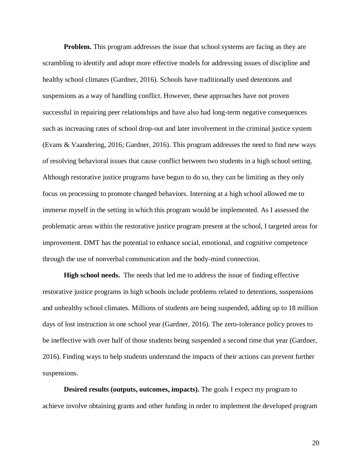**Problem.** This program addresses the issue that school systems are facing as they are scrambling to identify and adopt more effective models for addressing issues of discipline and healthy school climates (Gardner, 2016). Schools have traditionally used detentions and suspensions as a way of handling conflict. However, these approaches have not proven successful in repairing peer relationships and have also had long-term negative consequences such as increasing rates of school drop-out and later involvement in the criminal justice system (Evans & Vaandering, 2016; Gardner, 2016). This program addresses the need to find new ways of resolving behavioral issues that cause conflict between two students in a high school setting. Although restorative justice programs have begun to do so, they can be limiting as they only focus on processing to promote changed behaviors. Interning at a high school allowed me to immerse myself in the setting in which this program would be implemented. As I assessed the problematic areas within the restorative justice program present at the school, I targeted areas for improvement. DMT has the potential to enhance social, emotional, and cognitive competence through the use of nonverbal communication and the body-mind connection.

**High school needs.** The needs that led me to address the issue of finding effective restorative justice programs in high schools include problems related to detentions, suspensions and unhealthy school climates. Millions of students are being suspended, adding up to 18 million days of lost instruction in one school year (Gardner, 2016). The zero-tolerance policy proves to be ineffective with over half of those students being suspended a second time that year (Gardner, 2016). Finding ways to help students understand the impacts of their actions can prevent further suspensions.

**Desired results (outputs, outcomes, impacts).** The goals I expect my program to achieve involve obtaining grants and other funding in order to implement the developed program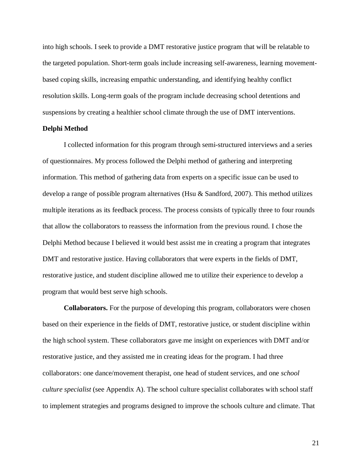into high schools. I seek to provide a DMT restorative justice program that will be relatable to the targeted population. Short-term goals include increasing self-awareness, learning movementbased coping skills, increasing empathic understanding, and identifying healthy conflict resolution skills. Long-term goals of the program include decreasing school detentions and suspensions by creating a healthier school climate through the use of DMT interventions.

#### **Delphi Method**

I collected information for this program through semi-structured interviews and a series of questionnaires. My process followed the Delphi method of gathering and interpreting information. This method of gathering data from experts on a specific issue can be used to develop a range of possible program alternatives (Hsu  $\&$  Sandford, 2007). This method utilizes multiple iterations as its feedback process. The process consists of typically three to four rounds that allow the collaborators to reassess the information from the previous round. I chose the Delphi Method because I believed it would best assist me in creating a program that integrates DMT and restorative justice. Having collaborators that were experts in the fields of DMT, restorative justice, and student discipline allowed me to utilize their experience to develop a program that would best serve high schools.

**Collaborators.** For the purpose of developing this program, collaborators were chosen based on their experience in the fields of DMT, restorative justice, or student discipline within the high school system. These collaborators gave me insight on experiences with DMT and/or restorative justice, and they assisted me in creating ideas for the program. I had three collaborators: one dance/movement therapist, one head of student services, and one *school culture specialist* (see Appendix A). The school culture specialist collaborates with school staff to implement strategies and programs designed to improve the schools culture and climate. That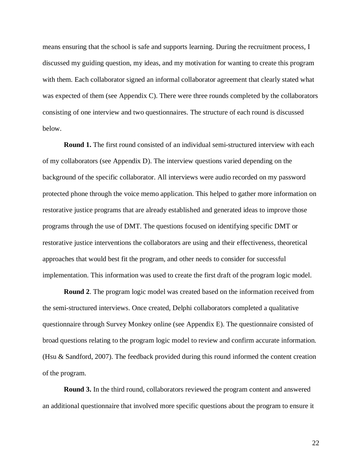means ensuring that the school is safe and supports learning. During the recruitment process, I discussed my guiding question, my ideas, and my motivation for wanting to create this program with them. Each collaborator signed an informal collaborator agreement that clearly stated what was expected of them (see Appendix C). There were three rounds completed by the collaborators consisting of one interview and two questionnaires. The structure of each round is discussed below.

**Round 1.** The first round consisted of an individual semi-structured interview with each of my collaborators (see Appendix D). The interview questions varied depending on the background of the specific collaborator. All interviews were audio recorded on my password protected phone through the voice memo application. This helped to gather more information on restorative justice programs that are already established and generated ideas to improve those programs through the use of DMT. The questions focused on identifying specific DMT or restorative justice interventions the collaborators are using and their effectiveness, theoretical approaches that would best fit the program, and other needs to consider for successful implementation. This information was used to create the first draft of the program logic model.

**Round 2**. The program logic model was created based on the information received from the semi-structured interviews. Once created, Delphi collaborators completed a qualitative questionnaire through Survey Monkey online (see Appendix E). The questionnaire consisted of broad questions relating to the program logic model to review and confirm accurate information. (Hsu & Sandford, 2007). The feedback provided during this round informed the content creation of the program.

**Round 3.** In the third round, collaborators reviewed the program content and answered an additional questionnaire that involved more specific questions about the program to ensure it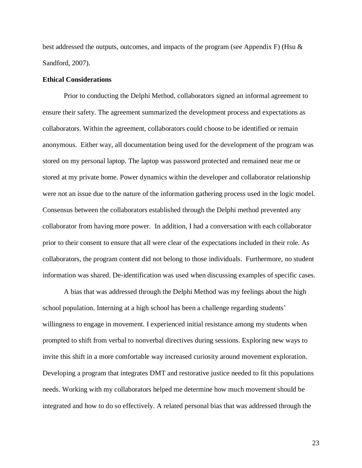best addressed the outputs, outcomes, and impacts of the program (see Appendix F) (Hsu & Sandford, 2007).

#### **Ethical Considerations**

Prior to conducting the Delphi Method, collaborators signed an informal agreement to ensure their safety. The agreement summarized the development process and expectations as collaborators. Within the agreement, collaborators could choose to be identified or remain anonymous. Either way, all documentation being used for the development of the program was stored on my personal laptop. The laptop was password protected and remained near me or stored at my private home. Power dynamics within the developer and collaborator relationship were not an issue due to the nature of the information gathering process used in the logic model. Consensus between the collaborators established through the Delphi method prevented any collaborator from having more power. In addition, I had a conversation with each collaborator prior to their consent to ensure that all were clear of the expectations included in their role. As collaborators, the program content did not belong to those individuals. Furthermore, no student information was shared. De-identification was used when discussing examples of specific cases.

A bias that was addressed through the Delphi Method was my feelings about the high school population. Interning at a high school has been a challenge regarding students' willingness to engage in movement. I experienced initial resistance among my students when prompted to shift from verbal to nonverbal directives during sessions. Exploring new ways to invite this shift in a more comfortable way increased curiosity around movement exploration. Developing a program that integrates DMT and restorative justice needed to fit this populations needs. Working with my collaborators helped me determine how much movement should be integrated and how to do so effectively. A related personal bias that was addressed through the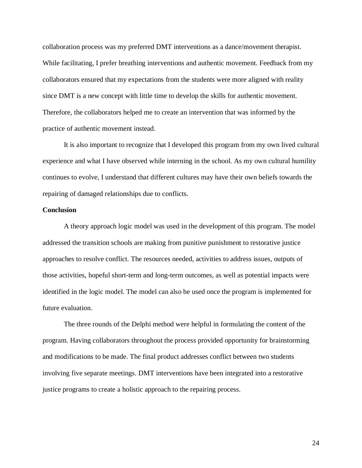collaboration process was my preferred DMT interventions as a dance/movement therapist. While facilitating, I prefer breathing interventions and authentic movement. Feedback from my collaborators ensured that my expectations from the students were more aligned with reality since DMT is a new concept with little time to develop the skills for authentic movement. Therefore, the collaborators helped me to create an intervention that was informed by the practice of authentic movement instead.

It is also important to recognize that I developed this program from my own lived cultural experience and what I have observed while interning in the school. As my own cultural humility continues to evolve, I understand that different cultures may have their own beliefs towards the repairing of damaged relationships due to conflicts.

#### **Conclusion**

A theory approach logic model was used in the development of this program. The model addressed the transition schools are making from punitive punishment to restorative justice approaches to resolve conflict. The resources needed, activities to address issues, outputs of those activities, hopeful short-term and long-term outcomes, as well as potential impacts were identified in the logic model. The model can also be used once the program is implemented for future evaluation.

The three rounds of the Delphi method were helpful in formulating the content of the program. Having collaborators throughout the process provided opportunity for brainstorming and modifications to be made. The final product addresses conflict between two students involving five separate meetings. DMT interventions have been integrated into a restorative justice programs to create a holistic approach to the repairing process.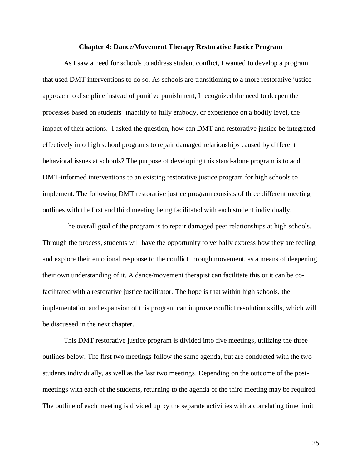#### **Chapter 4: Dance/Movement Therapy Restorative Justice Program**

As I saw a need for schools to address student conflict, I wanted to develop a program that used DMT interventions to do so. As schools are transitioning to a more restorative justice approach to discipline instead of punitive punishment, I recognized the need to deepen the processes based on students' inability to fully embody, or experience on a bodily level, the impact of their actions. I asked the question, how can DMT and restorative justice be integrated effectively into high school programs to repair damaged relationships caused by different behavioral issues at schools? The purpose of developing this stand-alone program is to add DMT-informed interventions to an existing restorative justice program for high schools to implement. The following DMT restorative justice program consists of three different meeting outlines with the first and third meeting being facilitated with each student individually.

The overall goal of the program is to repair damaged peer relationships at high schools. Through the process, students will have the opportunity to verbally express how they are feeling and explore their emotional response to the conflict through movement, as a means of deepening their own understanding of it. A dance/movement therapist can facilitate this or it can be cofacilitated with a restorative justice facilitator. The hope is that within high schools, the implementation and expansion of this program can improve conflict resolution skills, which will be discussed in the next chapter.

This DMT restorative justice program is divided into five meetings, utilizing the three outlines below. The first two meetings follow the same agenda, but are conducted with the two students individually, as well as the last two meetings. Depending on the outcome of the postmeetings with each of the students, returning to the agenda of the third meeting may be required. The outline of each meeting is divided up by the separate activities with a correlating time limit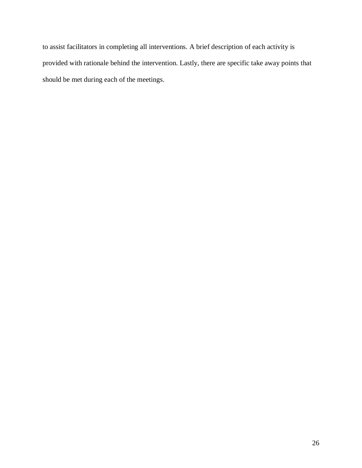to assist facilitators in completing all interventions. A brief description of each activity is provided with rationale behind the intervention. Lastly, there are specific take away points that should be met during each of the meetings.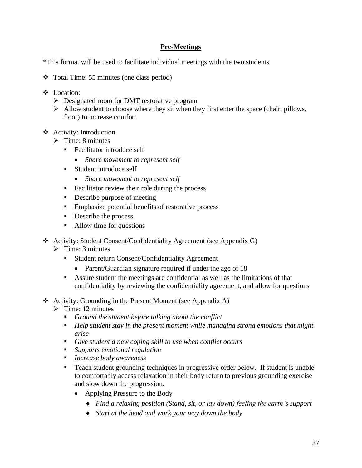## **Pre-Meetings**

\*This format will be used to facilitate individual meetings with the two students

- ❖ Total Time: 55 minutes (one class period)
- ❖ Location:
	- ➢ Designated room for DMT restorative program
	- $\triangleright$  Allow student to choose where they sit when they first enter the space (chair, pillows, floor) to increase comfort
- ❖ Activity: Introduction
	- ➢ Time: 8 minutes
		- Facilitator introduce self
			- *Share movement to represent self*
		- Student introduce self
			- *Share movement to represent self*
		- Facilitator review their role during the process
		- Describe purpose of meeting
		- Emphasize potential benefits of restorative process
		- Describe the process
		- Allow time for questions
- ❖ Activity: Student Consent/Confidentiality Agreement (see Appendix G)
	- $\triangleright$  Time: 3 minutes
		- Student return Consent/Confidentiality Agreement
			- Parent/Guardian signature required if under the age of 18
		- Assure student the meetings are confidential as well as the limitations of that confidentiality by reviewing the confidentiality agreement, and allow for questions
- ❖ Activity: Grounding in the Present Moment (see Appendix A)
	- $\triangleright$  Time: 12 minutes
		- *Ground the student before talking about the conflict*
		- *Help student stay in the present moment while managing strong emotions that might arise*
		- *Give student a new coping skill to use when conflict occurs*
		- *Supports emotional regulation*
		- *Increase body awareness*
		- Teach student grounding techniques in progressive order below. If student is unable to comfortably access relaxation in their body return to previous grounding exercise and slow down the progression.
			- Applying Pressure to the Body
				- *Find a relaxing position (Stand, sit, or lay down) feeling the earth's support*
				- *Start at the head and work your way down the body*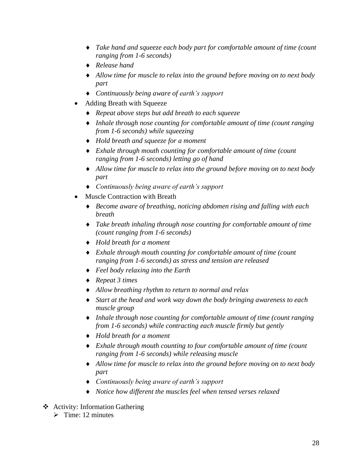- *Take hand and squeeze each body part for comfortable amount of time (count ranging from 1-6 seconds)*
- *Release hand*
- *Allow time for muscle to relax into the ground before moving on to next body part*
- *Continuously being aware of earth's support*
- Adding Breath with Squeeze
	- *Repeat above steps but add breath to each squeeze*
	- *Inhale through nose counting for comfortable amount of time (count ranging from 1-6 seconds) while squeezing*
	- *Hold breath and squeeze for a moment*
	- *Exhale through mouth counting for comfortable amount of time (count ranging from 1-6 seconds) letting go of hand*
	- *Allow time for muscle to relax into the ground before moving on to next body part*
	- *Continuously being aware of earth's support*
- Muscle Contraction with Breath
	- *Become aware of breathing, noticing abdomen rising and falling with each breath*
	- *Take breath inhaling through nose counting for comfortable amount of time (count ranging from 1-6 seconds)*
	- *Hold breath for a moment*
	- *Exhale through mouth counting for comfortable amount of time (count ranging from 1-6 seconds) as stress and tension are released*
	- *Feel body relaxing into the Earth*
	- *Repeat 3 times*
	- *Allow breathing rhythm to return to normal and relax*
	- *Start at the head and work way down the body bringing awareness to each muscle group*
	- *Inhale through nose counting for comfortable amount of time (count ranging from 1-6 seconds) while contracting each muscle firmly but gently*
	- *Hold breath for a moment*
	- *Exhale through mouth counting to four comfortable amount of time (count ranging from 1-6 seconds) while releasing muscle*
	- *Allow time for muscle to relax into the ground before moving on to next body part*
	- *Continuously being aware of earth's support*
	- *Notice how different the muscles feel when tensed verses relaxed*
- ❖ Activity: Information Gathering
	- $\triangleright$  Time: 12 minutes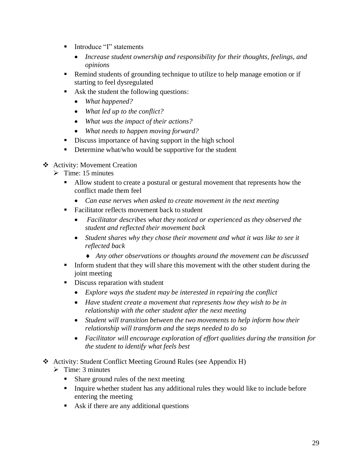- Introduce "I" statements
	- *Increase student ownership and responsibility for their thoughts, feelings, and opinions*
- Remind students of grounding technique to utilize to help manage emotion or if starting to feel dysregulated
- Ask the student the following questions:
	- *What happened?*
	- *What led up to the conflict?*
	- *What was the impact of their actions?*
	- *What needs to happen moving forward?*
- Discuss importance of having support in the high school
- Determine what/who would be supportive for the student

## ❖ Activity: Movement Creation

- $\triangleright$  Time: 15 minutes
	- Allow student to create a postural or gestural movement that represents how the conflict made them feel
		- *Can ease nerves when asked to create movement in the next meeting*
	- Facilitator reflects movement back to student
		- *Facilitator describes what they noticed or experienced as they observed the student and reflected their movement back*
		- *Student shares why they chose their movement and what it was like to see it reflected back* 
			- *Any other observations or thoughts around the movement can be discussed*
	- **•** Inform student that they will share this movement with the other student during the joint meeting
	- **•** Discuss reparation with student
		- *Explore ways the student may be interested in repairing the conflict*
		- *Have student create a movement that represents how they wish to be in relationship with the other student after the next meeting*
		- *Student will transition between the two movements to help inform how their relationship will transform and the steps needed to do so*
		- *Facilitator will encourage exploration of effort qualities during the transition for the student to identify what feels best*
- ❖ Activity: Student Conflict Meeting Ground Rules (see Appendix H)
	- $\triangleright$  Time: 3 minutes
		- Share ground rules of the next meeting
		- Inquire whether student has any additional rules they would like to include before entering the meeting
		- Ask if there are any additional questions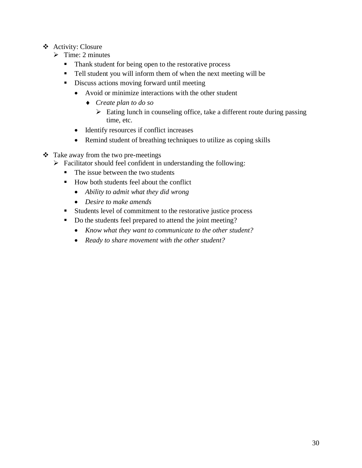- ❖ Activity: Closure
	- $\triangleright$  Time: 2 minutes
		- Thank student for being open to the restorative process
		- Tell student you will inform them of when the next meeting will be
		- Discuss actions moving forward until meeting
			- Avoid or minimize interactions with the other student
				- *Create plan to do so*
					- $\triangleright$  Eating lunch in counseling office, take a different route during passing time, etc.
			- Identify resources if conflict increases
			- Remind student of breathing techniques to utilize as coping skills
- ❖ Take away from the two pre-meetings
	- ➢ Facilitator should feel confident in understanding the following:
		- The issue between the two students
		- How both students feel about the conflict
			- *Ability to admit what they did wrong*
			- *Desire to make amends*
		- Students level of commitment to the restorative justice process
		- Do the students feel prepared to attend the joint meeting?
			- *Know what they want to communicate to the other student?*
			- *Ready to share movement with the other student?*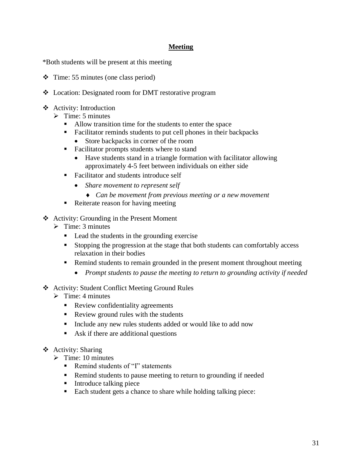## **Meeting**

\*Both students will be present at this meeting

- ❖ Time: 55 minutes (one class period)
- ❖ Location: Designated room for DMT restorative program
- ❖ Activity: Introduction
	- $\triangleright$  Time: 5 minutes
		- Allow transition time for the students to enter the space
		- Facilitator reminds students to put cell phones in their backpacks
			- Store backpacks in corner of the room
		- Facilitator prompts students where to stand
			- Have students stand in a triangle formation with facilitator allowing approximately 4-5 feet between individuals on either side
		- Facilitator and students introduce self
			- *Share movement to represent self*
				- *Can be movement from previous meeting or a new movement*
		- Reiterate reason for having meeting
- ❖ Activity: Grounding in the Present Moment
	- $\triangleright$  Time: 3 minutes
		- Lead the students in the grounding exercise
		- Stopping the progression at the stage that both students can comfortably access relaxation in their bodies
		- Remind students to remain grounded in the present moment throughout meeting
			- *Prompt students to pause the meeting to return to grounding activity if needed*
- ❖ Activity: Student Conflict Meeting Ground Rules
	- $\triangleright$  Time: 4 minutes
		- **•** Review confidentiality agreements
		- Review ground rules with the students
		- Include any new rules students added or would like to add now
		- Ask if there are additional questions
- ❖ Activity: Sharing
	- $\triangleright$  Time: 10 minutes
		- Remind students of "I" statements
		- Remind students to pause meeting to return to grounding if needed
		- Introduce talking piece
		- Each student gets a chance to share while holding talking piece: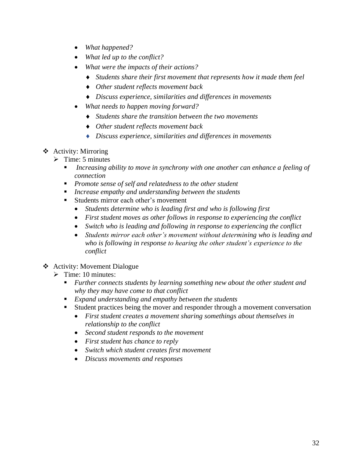- *What happened?*
- *What led up to the conflict?*
- *What were the impacts of their actions?*
	- *Students share their first movement that represents how it made them feel*
	- *Other student reflects movement back*
	- *Discuss experience, similarities and differences in movements*
- *What needs to happen moving forward?*
	- *Students share the transition between the two movements*
	- *Other student reflects movement back*
	- *Discuss experience, similarities and differences in movements*
- ❖ Activity: Mirroring
	- $\triangleright$  Time: 5 minutes
		- Increasing ability to move in synchrony with one another can enhance a feeling of *connection*
		- *Promote sense of self and relatedness to the other student*
		- *Increase empathy and understanding between the students*
		- Students mirror each other's movement
			- *Students determine who is leading first and who is following first*
			- *First student moves as other follows in response to experiencing the conflict*
			- *Switch who is leading and following in response to experiencing the conflict*
			- *Students mirror each other's movement without determining who is leading and who is following in response to hearing the other student's experience to the conflict*
- ❖ Activity: Movement Dialogue
	- $\triangleright$  Time: 10 minutes:
		- *Further connects students by learning something new about the other student and why they may have come to that conflict*
		- *Expand understanding and empathy between the students*
		- Student practices being the mover and responder through a movement conversation
			- *First student creates a movement sharing somethings about themselves in relationship to the conflict*
			- *Second student responds to the movement*
			- *First student has chance to reply*
			- *Switch which student creates first movement*
			- *Discuss movements and responses*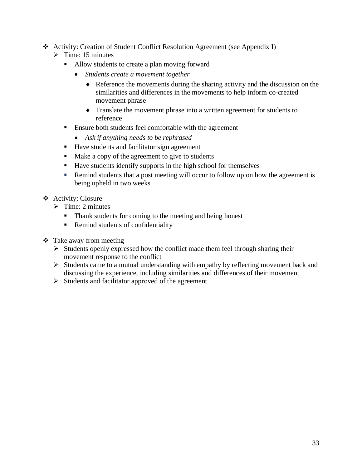- ❖ Activity: Creation of Student Conflict Resolution Agreement (see Appendix I)
	- $\triangleright$  Time: 15 minutes
		- Allow students to create a plan moving forward
			- *Students create a movement together* 
				- Reference the movements during the sharing activity and the discussion on the similarities and differences in the movements to help inform co-created movement phrase
				- Translate the movement phrase into a written agreement for students to reference
		- Ensure both students feel comfortable with the agreement
			- *Ask if anything needs to be rephrased*
		- Have students and facilitator sign agreement
		- Make a copy of the agreement to give to students
		- Have students identify supports in the high school for themselves
		- Remind students that a post meeting will occur to follow up on how the agreement is being upheld in two weeks
- ❖ Activity: Closure
	- $\triangleright$  Time: 2 minutes
		- Thank students for coming to the meeting and being honest
		- Remind students of confidentiality
- ❖ Take away from meeting
	- ➢ Students openly expressed how the conflict made them feel through sharing their movement response to the conflict
	- ➢ Students came to a mutual understanding with empathy by reflecting movement back and discussing the experience, including similarities and differences of their movement
	- ➢ Students and facilitator approved of the agreement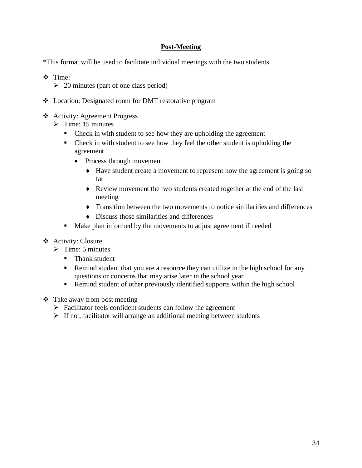# **Post-Meeting**

\*This format will be used to facilitate individual meetings with the two students

- ❖ Time:
	- $\geq 20$  minutes (part of one class period)
- ❖ Location: Designated room for DMT restorative program
- ❖ Activity: Agreement Progress
	- $\triangleright$  Time: 15 minutes
		- Check in with student to see how they are upholding the agreement
		- Check in with student to see how they feel the other student is upholding the agreement
			- Process through movement
				- Have student create a movement to represent how the agreement is going so far
				- Review movement the two students created together at the end of the last meeting
				- Transition between the two movements to notice similarities and differences
				- $\bullet$  Discuss those similarities and differences
		- Make plan informed by the movements to adjust agreement if needed
- ❖ Activity: Closure
	- $\triangleright$  Time: 5 minutes
		- Thank student
		- Remind student that you are a resource they can utilize in the high school for any questions or concerns that may arise later in the school year
		- **•** Remind student of other previously identified supports within the high school
- ❖ Take away from post meeting
	- ➢ Facilitator feels confident students can follow the agreement
	- $\triangleright$  If not, facilitator will arrange an additional meeting between students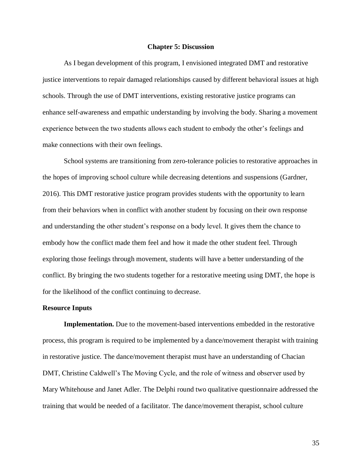#### **Chapter 5: Discussion**

As I began development of this program, I envisioned integrated DMT and restorative justice interventions to repair damaged relationships caused by different behavioral issues at high schools. Through the use of DMT interventions, existing restorative justice programs can enhance self-awareness and empathic understanding by involving the body. Sharing a movement experience between the two students allows each student to embody the other's feelings and make connections with their own feelings.

School systems are transitioning from zero-tolerance policies to restorative approaches in the hopes of improving school culture while decreasing detentions and suspensions (Gardner, 2016). This DMT restorative justice program provides students with the opportunity to learn from their behaviors when in conflict with another student by focusing on their own response and understanding the other student's response on a body level. It gives them the chance to embody how the conflict made them feel and how it made the other student feel. Through exploring those feelings through movement, students will have a better understanding of the conflict. By bringing the two students together for a restorative meeting using DMT, the hope is for the likelihood of the conflict continuing to decrease.

### **Resource Inputs**

**Implementation.** Due to the movement-based interventions embedded in the restorative process, this program is required to be implemented by a dance/movement therapist with training in restorative justice. The dance/movement therapist must have an understanding of Chacian DMT, Christine Caldwell's The Moving Cycle, and the role of witness and observer used by Mary Whitehouse and Janet Adler. The Delphi round two qualitative questionnaire addressed the training that would be needed of a facilitator. The dance/movement therapist, school culture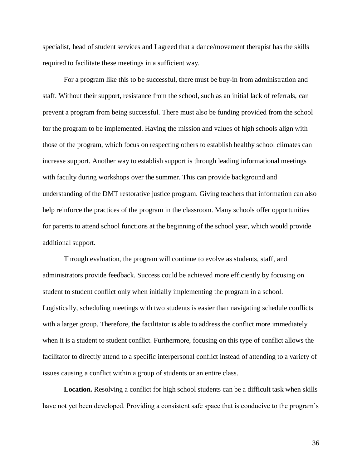specialist, head of student services and I agreed that a dance/movement therapist has the skills required to facilitate these meetings in a sufficient way.

For a program like this to be successful, there must be buy-in from administration and staff. Without their support, resistance from the school, such as an initial lack of referrals, can prevent a program from being successful. There must also be funding provided from the school for the program to be implemented. Having the mission and values of high schools align with those of the program, which focus on respecting others to establish healthy school climates can increase support. Another way to establish support is through leading informational meetings with faculty during workshops over the summer. This can provide background and understanding of the DMT restorative justice program. Giving teachers that information can also help reinforce the practices of the program in the classroom. Many schools offer opportunities for parents to attend school functions at the beginning of the school year, which would provide additional support.

Through evaluation, the program will continue to evolve as students, staff, and administrators provide feedback. Success could be achieved more efficiently by focusing on student to student conflict only when initially implementing the program in a school. Logistically, scheduling meetings with two students is easier than navigating schedule conflicts with a larger group. Therefore, the facilitator is able to address the conflict more immediately when it is a student to student conflict. Furthermore, focusing on this type of conflict allows the facilitator to directly attend to a specific interpersonal conflict instead of attending to a variety of issues causing a conflict within a group of students or an entire class.

**Location.** Resolving a conflict for high school students can be a difficult task when skills have not yet been developed. Providing a consistent safe space that is conducive to the program's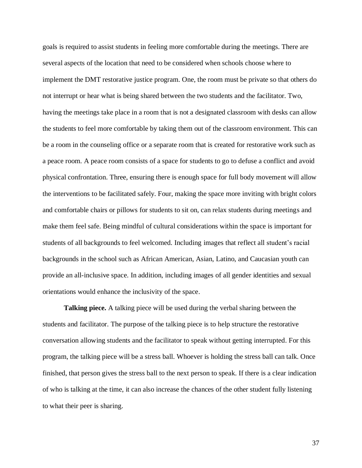goals is required to assist students in feeling more comfortable during the meetings. There are several aspects of the location that need to be considered when schools choose where to implement the DMT restorative justice program. One, the room must be private so that others do not interrupt or hear what is being shared between the two students and the facilitator. Two, having the meetings take place in a room that is not a designated classroom with desks can allow the students to feel more comfortable by taking them out of the classroom environment. This can be a room in the counseling office or a separate room that is created for restorative work such as a peace room. A peace room consists of a space for students to go to defuse a conflict and avoid physical confrontation. Three, ensuring there is enough space for full body movement will allow the interventions to be facilitated safely. Four, making the space more inviting with bright colors and comfortable chairs or pillows for students to sit on, can relax students during meetings and make them feel safe. Being mindful of cultural considerations within the space is important for students of all backgrounds to feel welcomed. Including images that reflect all student's racial backgrounds in the school such as African American, Asian, Latino, and Caucasian youth can provide an all-inclusive space. In addition, including images of all gender identities and sexual orientations would enhance the inclusivity of the space.

**Talking piece.** A talking piece will be used during the verbal sharing between the students and facilitator. The purpose of the talking piece is to help structure the restorative conversation allowing students and the facilitator to speak without getting interrupted. For this program, the talking piece will be a stress ball. Whoever is holding the stress ball can talk. Once finished, that person gives the stress ball to the next person to speak. If there is a clear indication of who is talking at the time, it can also increase the chances of the other student fully listening to what their peer is sharing.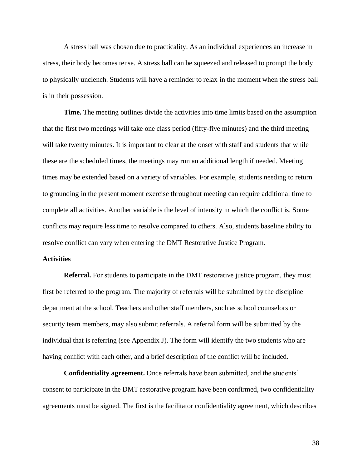A stress ball was chosen due to practicality. As an individual experiences an increase in stress, their body becomes tense. A stress ball can be squeezed and released to prompt the body to physically unclench. Students will have a reminder to relax in the moment when the stress ball is in their possession.

**Time.** The meeting outlines divide the activities into time limits based on the assumption that the first two meetings will take one class period (fifty-five minutes) and the third meeting will take twenty minutes. It is important to clear at the onset with staff and students that while these are the scheduled times, the meetings may run an additional length if needed. Meeting times may be extended based on a variety of variables. For example, students needing to return to grounding in the present moment exercise throughout meeting can require additional time to complete all activities. Another variable is the level of intensity in which the conflict is. Some conflicts may require less time to resolve compared to others. Also, students baseline ability to resolve conflict can vary when entering the DMT Restorative Justice Program.

#### **Activities**

**Referral.** For students to participate in the DMT restorative justice program, they must first be referred to the program. The majority of referrals will be submitted by the discipline department at the school. Teachers and other staff members, such as school counselors or security team members, may also submit referrals. A referral form will be submitted by the individual that is referring (see Appendix J). The form will identify the two students who are having conflict with each other, and a brief description of the conflict will be included.

**Confidentiality agreement.** Once referrals have been submitted, and the students' consent to participate in the DMT restorative program have been confirmed, two confidentiality agreements must be signed. The first is the facilitator confidentiality agreement, which describes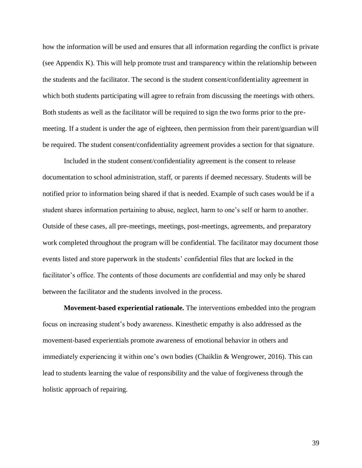how the information will be used and ensures that all information regarding the conflict is private (see Appendix K). This will help promote trust and transparency within the relationship between the students and the facilitator. The second is the student consent/confidentiality agreement in which both students participating will agree to refrain from discussing the meetings with others. Both students as well as the facilitator will be required to sign the two forms prior to the premeeting. If a student is under the age of eighteen, then permission from their parent/guardian will be required. The student consent/confidentiality agreement provides a section for that signature.

Included in the student consent/confidentiality agreement is the consent to release documentation to school administration, staff, or parents if deemed necessary. Students will be notified prior to information being shared if that is needed. Example of such cases would be if a student shares information pertaining to abuse, neglect, harm to one's self or harm to another. Outside of these cases, all pre-meetings, meetings, post-meetings, agreements, and preparatory work completed throughout the program will be confidential. The facilitator may document those events listed and store paperwork in the students' confidential files that are locked in the facilitator's office. The contents of those documents are confidential and may only be shared between the facilitator and the students involved in the process.

**Movement-based experiential rationale.** The interventions embedded into the program focus on increasing student's body awareness. Kinesthetic empathy is also addressed as the movement-based experientials promote awareness of emotional behavior in others and immediately experiencing it within one's own bodies (Chaiklin & Wengrower, 2016). This can lead to students learning the value of responsibility and the value of forgiveness through the holistic approach of repairing.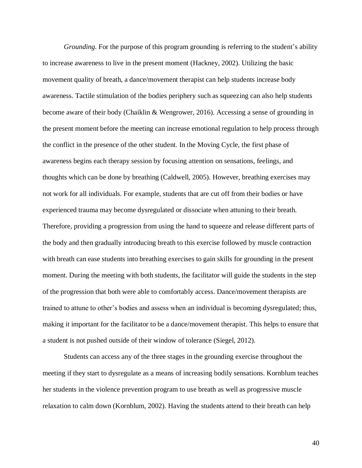*Grounding.* For the purpose of this program grounding is referring to the student's ability to increase awareness to live in the present moment (Hackney, 2002). Utilizing the basic movement quality of breath, a dance/movement therapist can help students increase body awareness. Tactile stimulation of the bodies periphery such as squeezing can also help students become aware of their body (Chaiklin & Wengrower, 2016). Accessing a sense of grounding in the present moment before the meeting can increase emotional regulation to help process through the conflict in the presence of the other student. In the Moving Cycle, the first phase of awareness begins each therapy session by focusing attention on sensations, feelings, and thoughts which can be done by breathing (Caldwell, 2005). However, breathing exercises may not work for all individuals. For example, students that are cut off from their bodies or have experienced trauma may become dysregulated or dissociate when attuning to their breath. Therefore, providing a progression from using the hand to squeeze and release different parts of the body and then gradually introducing breath to this exercise followed by muscle contraction with breath can ease students into breathing exercises to gain skills for grounding in the present moment. During the meeting with both students, the facilitator will guide the students in the step of the progression that both were able to comfortably access. Dance/movement therapists are trained to attune to other's bodies and assess when an individual is becoming dysregulated; thus, making it important for the facilitator to be a dance/movement therapist. This helps to ensure that a student is not pushed outside of their window of tolerance (Siegel, 2012).

Students can access any of the three stages in the grounding exercise throughout the meeting if they start to dysregulate as a means of increasing bodily sensations. Kornblum teaches her students in the violence prevention program to use breath as well as progressive muscle relaxation to calm down (Kornblum, 2002). Having the students attend to their breath can help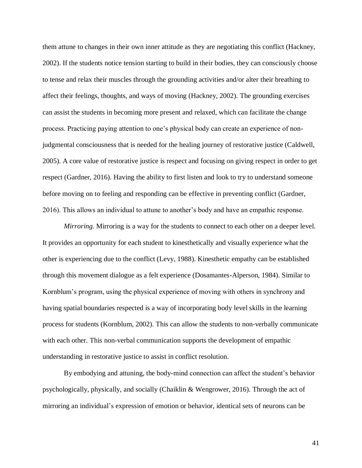them attune to changes in their own inner attitude as they are negotiating this conflict (Hackney, 2002). If the students notice tension starting to build in their bodies, they can consciously choose to tense and relax their muscles through the grounding activities and/or alter their breathing to affect their feelings, thoughts, and ways of moving (Hackney, 2002). The grounding exercises can assist the students in becoming more present and relaxed, which can facilitate the change process. Practicing paying attention to one's physical body can create an experience of nonjudgmental consciousness that is needed for the healing journey of restorative justice (Caldwell, 2005). A core value of restorative justice is respect and focusing on giving respect in order to get respect (Gardner, 2016). Having the ability to first listen and look to try to understand someone before moving on to feeling and responding can be effective in preventing conflict (Gardner, 2016). This allows an individual to attune to another's body and have an empathic response.

*Mirroring.* Mirroring is a way for the students to connect to each other on a deeper level. It provides an opportunity for each student to kinesthetically and visually experience what the other is experiencing due to the conflict (Levy, 1988). Kinesthetic empathy can be established through this movement dialogue as a felt experience (Dosamantes-Alperson, 1984). Similar to Kornblum's program, using the physical experience of moving with others in synchrony and having spatial boundaries respected is a way of incorporating body level skills in the learning process for students (Kornblum, 2002). This can allow the students to non-verbally communicate with each other. This non-verbal communication supports the development of empathic understanding in restorative justice to assist in conflict resolution.

By embodying and attuning, the body-mind connection can affect the student's behavior psychologically, physically, and socially (Chaiklin & Wengrower, 2016). Through the act of mirroring an individual's expression of emotion or behavior, identical sets of neurons can be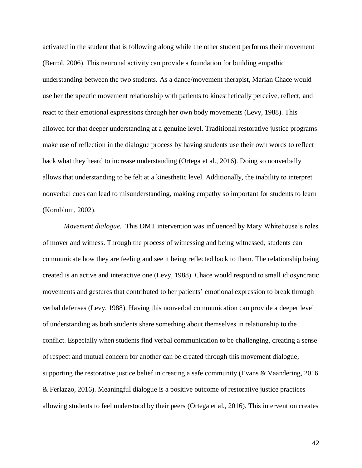activated in the student that is following along while the other student performs their movement (Berrol, 2006). This neuronal activity can provide a foundation for building empathic understanding between the two students. As a dance/movement therapist, Marian Chace would use her therapeutic movement relationship with patients to kinesthetically perceive, reflect, and react to their emotional expressions through her own body movements (Levy, 1988). This allowed for that deeper understanding at a genuine level. Traditional restorative justice programs make use of reflection in the dialogue process by having students use their own words to reflect back what they heard to increase understanding (Ortega et al., 2016). Doing so nonverbally allows that understanding to be felt at a kinesthetic level. Additionally, the inability to interpret nonverbal cues can lead to misunderstanding, making empathy so important for students to learn (Kornblum, 2002).

*Movement dialogue.*This DMT intervention was influenced by Mary Whitehouse's roles of mover and witness. Through the process of witnessing and being witnessed, students can communicate how they are feeling and see it being reflected back to them. The relationship being created is an active and interactive one (Levy, 1988). Chace would respond to small idiosyncratic movements and gestures that contributed to her patients' emotional expression to break through verbal defenses (Levy, 1988). Having this nonverbal communication can provide a deeper level of understanding as both students share something about themselves in relationship to the conflict. Especially when students find verbal communication to be challenging, creating a sense of respect and mutual concern for another can be created through this movement dialogue, supporting the restorative justice belief in creating a safe community (Evans & Vaandering, 2016 & Ferlazzo, 2016). Meaningful dialogue is a positive outcome of restorative justice practices allowing students to feel understood by their peers (Ortega et al., 2016). This intervention creates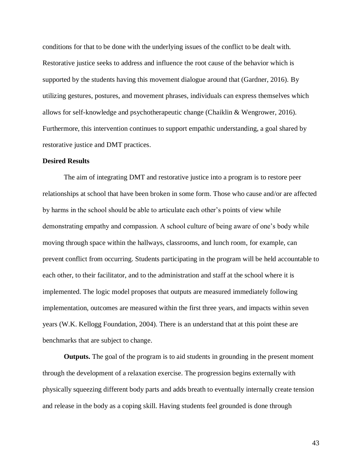conditions for that to be done with the underlying issues of the conflict to be dealt with. Restorative justice seeks to address and influence the root cause of the behavior which is supported by the students having this movement dialogue around that (Gardner, 2016). By utilizing gestures, postures, and movement phrases, individuals can express themselves which allows for self-knowledge and psychotherapeutic change (Chaiklin & Wengrower, 2016). Furthermore, this intervention continues to support empathic understanding, a goal shared by restorative justice and DMT practices.

### **Desired Results**

The aim of integrating DMT and restorative justice into a program is to restore peer relationships at school that have been broken in some form. Those who cause and/or are affected by harms in the school should be able to articulate each other's points of view while demonstrating empathy and compassion. A school culture of being aware of one's body while moving through space within the hallways, classrooms, and lunch room, for example, can prevent conflict from occurring. Students participating in the program will be held accountable to each other, to their facilitator, and to the administration and staff at the school where it is implemented. The logic model proposes that outputs are measured immediately following implementation, outcomes are measured within the first three years, and impacts within seven years (W.K. Kellogg Foundation, 2004). There is an understand that at this point these are benchmarks that are subject to change.

**Outputs.** The goal of the program is to aid students in grounding in the present moment through the development of a relaxation exercise. The progression begins externally with physically squeezing different body parts and adds breath to eventually internally create tension and release in the body as a coping skill. Having students feel grounded is done through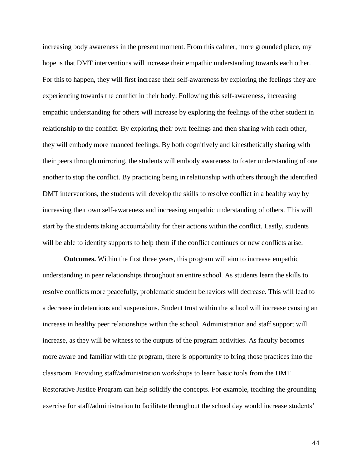increasing body awareness in the present moment. From this calmer, more grounded place, my hope is that DMT interventions will increase their empathic understanding towards each other. For this to happen, they will first increase their self-awareness by exploring the feelings they are experiencing towards the conflict in their body. Following this self-awareness, increasing empathic understanding for others will increase by exploring the feelings of the other student in relationship to the conflict. By exploring their own feelings and then sharing with each other, they will embody more nuanced feelings. By both cognitively and kinesthetically sharing with their peers through mirroring, the students will embody awareness to foster understanding of one another to stop the conflict. By practicing being in relationship with others through the identified DMT interventions, the students will develop the skills to resolve conflict in a healthy way by increasing their own self-awareness and increasing empathic understanding of others. This will start by the students taking accountability for their actions within the conflict. Lastly, students will be able to identify supports to help them if the conflict continues or new conflicts arise.

**Outcomes.** Within the first three years, this program will aim to increase empathic understanding in peer relationships throughout an entire school. As students learn the skills to resolve conflicts more peacefully, problematic student behaviors will decrease. This will lead to a decrease in detentions and suspensions. Student trust within the school will increase causing an increase in healthy peer relationships within the school. Administration and staff support will increase, as they will be witness to the outputs of the program activities. As faculty becomes more aware and familiar with the program, there is opportunity to bring those practices into the classroom. Providing staff/administration workshops to learn basic tools from the DMT Restorative Justice Program can help solidify the concepts. For example, teaching the grounding exercise for staff/administration to facilitate throughout the school day would increase students'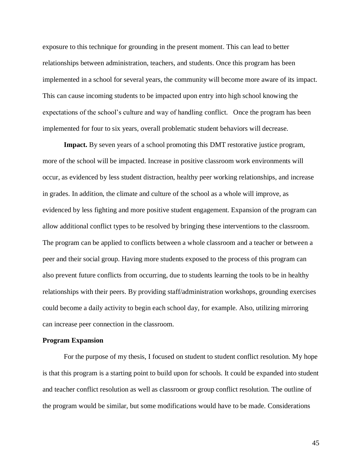exposure to this technique for grounding in the present moment. This can lead to better relationships between administration, teachers, and students. Once this program has been implemented in a school for several years, the community will become more aware of its impact. This can cause incoming students to be impacted upon entry into high school knowing the expectations of the school's culture and way of handling conflict. Once the program has been implemented for four to six years, overall problematic student behaviors will decrease.

**Impact.** By seven years of a school promoting this DMT restorative justice program, more of the school will be impacted. Increase in positive classroom work environments will occur, as evidenced by less student distraction, healthy peer working relationships, and increase in grades. In addition, the climate and culture of the school as a whole will improve, as evidenced by less fighting and more positive student engagement. Expansion of the program can allow additional conflict types to be resolved by bringing these interventions to the classroom. The program can be applied to conflicts between a whole classroom and a teacher or between a peer and their social group. Having more students exposed to the process of this program can also prevent future conflicts from occurring, due to students learning the tools to be in healthy relationships with their peers. By providing staff/administration workshops, grounding exercises could become a daily activity to begin each school day, for example. Also, utilizing mirroring can increase peer connection in the classroom.

### **Program Expansion**

For the purpose of my thesis, I focused on student to student conflict resolution. My hope is that this program is a starting point to build upon for schools. It could be expanded into student and teacher conflict resolution as well as classroom or group conflict resolution. The outline of the program would be similar, but some modifications would have to be made. Considerations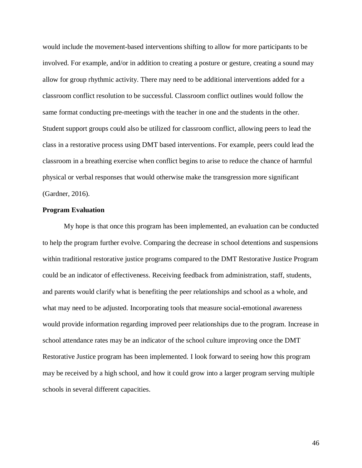would include the movement-based interventions shifting to allow for more participants to be involved. For example, and/or in addition to creating a posture or gesture, creating a sound may allow for group rhythmic activity. There may need to be additional interventions added for a classroom conflict resolution to be successful. Classroom conflict outlines would follow the same format conducting pre-meetings with the teacher in one and the students in the other. Student support groups could also be utilized for classroom conflict, allowing peers to lead the class in a restorative process using DMT based interventions. For example, peers could lead the classroom in a breathing exercise when conflict begins to arise to reduce the chance of harmful physical or verbal responses that would otherwise make the transgression more significant (Gardner, 2016).

### **Program Evaluation**

My hope is that once this program has been implemented, an evaluation can be conducted to help the program further evolve. Comparing the decrease in school detentions and suspensions within traditional restorative justice programs compared to the DMT Restorative Justice Program could be an indicator of effectiveness. Receiving feedback from administration, staff, students, and parents would clarify what is benefiting the peer relationships and school as a whole, and what may need to be adjusted. Incorporating tools that measure social-emotional awareness would provide information regarding improved peer relationships due to the program. Increase in school attendance rates may be an indicator of the school culture improving once the DMT Restorative Justice program has been implemented. I look forward to seeing how this program may be received by a high school, and how it could grow into a larger program serving multiple schools in several different capacities.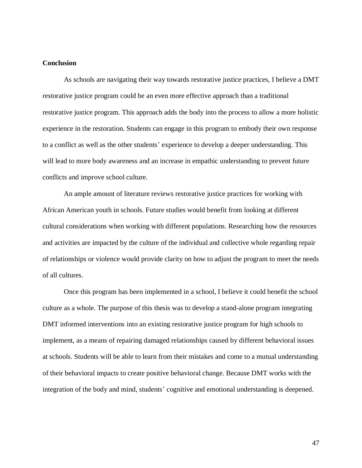## **Conclusion**

As schools are navigating their way towards restorative justice practices, I believe a DMT restorative justice program could be an even more effective approach than a traditional restorative justice program. This approach adds the body into the process to allow a more holistic experience in the restoration. Students can engage in this program to embody their own response to a conflict as well as the other students' experience to develop a deeper understanding. This will lead to more body awareness and an increase in empathic understanding to prevent future conflicts and improve school culture.

An ample amount of literature reviews restorative justice practices for working with African American youth in schools. Future studies would benefit from looking at different cultural considerations when working with different populations. Researching how the resources and activities are impacted by the culture of the individual and collective whole regarding repair of relationships or violence would provide clarity on how to adjust the program to meet the needs of all cultures.

Once this program has been implemented in a school, I believe it could benefit the school culture as a whole. The purpose of this thesis was to develop a stand-alone program integrating DMT informed interventions into an existing restorative justice program for high schools to implement, as a means of repairing damaged relationships caused by different behavioral issues at schools. Students will be able to learn from their mistakes and come to a mutual understanding of their behavioral impacts to create positive behavioral change. Because DMT works with the integration of the body and mind, students' cognitive and emotional understanding is deepened.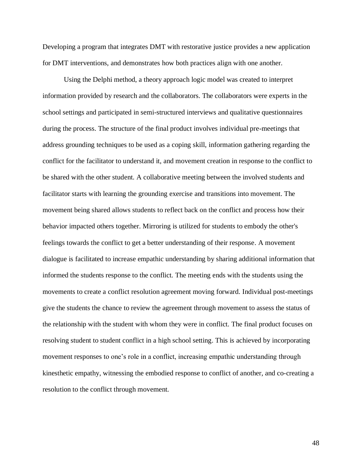Developing a program that integrates DMT with restorative justice provides a new application for DMT interventions, and demonstrates how both practices align with one another.

Using the Delphi method, a theory approach logic model was created to interpret information provided by research and the collaborators. The collaborators were experts in the school settings and participated in semi-structured interviews and qualitative questionnaires during the process. The structure of the final product involves individual pre-meetings that address grounding techniques to be used as a coping skill, information gathering regarding the conflict for the facilitator to understand it, and movement creation in response to the conflict to be shared with the other student. A collaborative meeting between the involved students and facilitator starts with learning the grounding exercise and transitions into movement. The movement being shared allows students to reflect back on the conflict and process how their behavior impacted others together. Mirroring is utilized for students to embody the other's feelings towards the conflict to get a better understanding of their response. A movement dialogue is facilitated to increase empathic understanding by sharing additional information that informed the students response to the conflict. The meeting ends with the students using the movements to create a conflict resolution agreement moving forward. Individual post-meetings give the students the chance to review the agreement through movement to assess the status of the relationship with the student with whom they were in conflict. The final product focuses on resolving student to student conflict in a high school setting. This is achieved by incorporating movement responses to one's role in a conflict, increasing empathic understanding through kinesthetic empathy, witnessing the embodied response to conflict of another, and co-creating a resolution to the conflict through movement.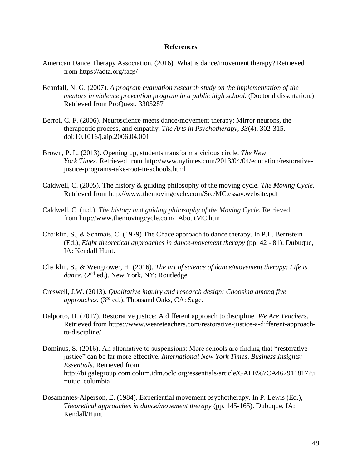### **References**

- American Dance Therapy Association. (2016). What is dance/movement therapy? Retrieved from<https://adta.org/faqs/>
- Beardall, N. G. (2007). *A program evaluation research study on the implementation of the mentors in violence prevention program in a public high school.* (Doctoral dissertation.) Retrieved from ProQuest. 3305287
- Berrol, C. F. (2006). Neuroscience meets dance/movement therapy: Mirror neurons, the therapeutic process, and empathy. *The Arts in Psychotherapy, 33*(4), 302-315. doi:10.1016/j.aip.2006.04.001
- Brown, P. L. (2013). Opening up, students transform a vicious circle. *The New York Times*. Retrieved from [http://www.nytimes.com/2013/04/04/education/restorative](http://www.nytimes.com/2013/04/04/education/restorative-justice-programs-take-root-in-schools.html)[justice-programs-take-root-in-schools.html](http://www.nytimes.com/2013/04/04/education/restorative-justice-programs-take-root-in-schools.html)
- Caldwell, C. (2005). The history & guiding philosophy of the moving cycle. *The Moving Cycle.* Retrieved from<http://www.themovingcycle.com/Src/MC.essay.website.pdf>
- Caldwell, C. (n.d.). *The history and guiding philosophy of the Moving Cycle.* Retrieved from http://www.themovingcycle.com/\_AboutMC.htm
- Chaiklin, S., & Schmais, C. (1979) The Chace approach to dance therapy. In P.L. Bernstein (Ed.), *Eight theoretical approaches in dance-movement therapy* (pp. 42 - 81). Dubuque, IA: Kendall Hunt.
- Chaiklin, S., & Wengrower, H. (2016). *The art of science of dance/movement therapy: Life is*  dance. (2<sup>nd</sup> ed.). New York, NY: Routledge
- Creswell, J.W. (2013). *Qualitative inquiry and research design: Choosing among five approaches.* (3rd ed.). Thousand Oaks, CA: Sage.
- Dalporto, D. (2017). Restorative justice: A different approach to discipline. *We Are Teachers.* Retrieved from [https://www.weareteachers.com/restorative-justice-a-different-approach](https://www.weareteachers.com/restorative-justice-a-different-approach-to-discipline/)[to-discipline/](https://www.weareteachers.com/restorative-justice-a-different-approach-to-discipline/)
- Dominus, S. (2016). An alternative to suspensions: More schools are finding that "restorative justice" can be far more effective. *International New York Times*. *Business Insights: Essentials*. Retrieved from [http://bi.galegroup.com.colum.idm.oclc.org/essentials/article/GALE%7CA462911817?u](http://bi.galegroup.com.colum.idm.oclc.org/essentials/article/GALE%7CA462911817?u=uiuc_columbia) [=uiuc\\_columbia](http://bi.galegroup.com.colum.idm.oclc.org/essentials/article/GALE%7CA462911817?u=uiuc_columbia)
- Dosamantes-Alperson, E. (1984). Experiential movement psychotherapy. In P. Lewis (Ed.), *Theoretical approaches in dance/movement therapy* (pp. 145-165). Dubuque, IA: Kendall/Hunt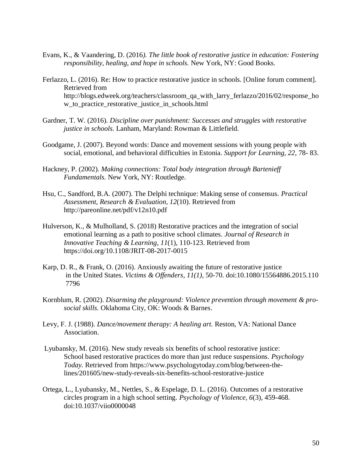- Evans, K., & Vaandering, D. (2016*). The little book of restorative justice in education: Fostering responsibility, healing, and hope in schools.* New York, NY: Good Books.
- Ferlazzo, L. (2016). Re: How to practice restorative justice in schools. [Online forum comment]. Retrieved from [http://blogs.edweek.org/teachers/classroom\\_qa\\_with\\_larry\\_ferlazzo/2016/02/response\\_ho](http://blogs.edweek.org/teachers/classroom_qa_with_larry_ferlazzo/2016/02/response_how_to_practice_restorative_justice_in_schools.html) [w\\_to\\_practice\\_restorative\\_justice\\_in\\_schools.html](http://blogs.edweek.org/teachers/classroom_qa_with_larry_ferlazzo/2016/02/response_how_to_practice_restorative_justice_in_schools.html)
- Gardner, T. W. (2016). *Discipline over punishment: Successes and struggles with restorative justice in schools.* Lanham, Maryland: Rowman & Littlefield.
- Goodgame, J. (2007). Beyond words: Dance and movement sessions with young people with social, emotional, and behavioral difficulties in Estonia. *Support for Learning, 22*, 78- 83.
- Hackney, P. (2002). *Making connections: Total body integration through Bartenieff Fundamentals.* New York, NY: Routledge.
- Hsu, C., Sandford, B.A. (2007). The Delphi technique: Making sense of consensus. *Practical Assessment, Research & Evaluation, 12*(10). Retrieved from [http://p](http://pareonline.net/pdf/v12n10.pdf)areonline.net/pdf/v12n10.pdf
- Hulverson, K., & Mulholland, S. (2018) Restorative practices and the integration of social emotional learning as a path to positive school climates*. Journal of Research in Innovative Teaching & Learning, 11*(1), 110-123. Retrieved from https://doi.org/10.1108/JRIT-08-2017-0015
- Karp, D. R., & Frank, O. (2016). Anxiously awaiting the future of restorative justice in the United States. *Victims & Offenders, 11(1)*, 50-70. doi:10.1080/15564886.2015.110 7796
- Kornblum, R. (2002). *Disarming the playground: Violence prevention through movement & prosocial skills.* Oklahoma City, OK: Woods & Barnes.
- Levy, F. J. (1988). *Dance/movement therapy: A healing art.* Reston, VA: National Dance Association.
- Lyubansky, M. (2016). New study reveals six benefits of school restorative justice: School based restorative practices do more than just reduce suspensions. *Psychology Today.* Retrieved from [https://www.psychologytoday.com/blog/between-the](https://www.psychologytoday.com/blog/between-the-lines/201605/new-study-reveals-six-benefits-school-restorative-justice)[lines/201605/new-study-reveals-six-benefits-school-restorative-justice](https://www.psychologytoday.com/blog/between-the-lines/201605/new-study-reveals-six-benefits-school-restorative-justice)
- Ortega, L., Lyubansky, M., Nettles, S., & Espelage, D. L. (2016). Outcomes of a restorative circles program in a high school setting. *Psychology of Violence, 6*(3), 459-468. doi:10.1037/viio0000048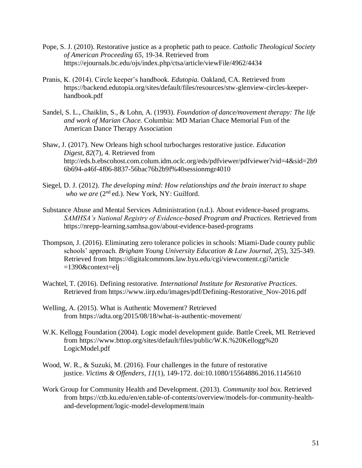- Pope, S. J. (2010). Restorative justice as a prophetic path to peace. *Catholic Theological Society of American Proceeding 65,* 19-34. Retrieved from <https://ejournals.bc.edu/ojs/index.php/ctsa/article/viewFile/4962/4434>
- Pranis, K. (2014). Circle keeper's handbook. *Edutopia.* Oakland, CA. Retrieved from [https://backend.edutopia.org/sites/default/files/resources/stw-glenview-circles-keeper](https://backend.edutopia.org/sites/default/files/resources/stw-glenview-circles-keeper-handbook.pdf)[handbook.pdf](https://backend.edutopia.org/sites/default/files/resources/stw-glenview-circles-keeper-handbook.pdf)
- Sandel, S. L., Chaiklin, S., & Lohn, A. (1993). *Foundation of dance/movement therapy: The life and work of Marian Chace.* Columbia: MD Marian Chace Memorial Fun of the American Dance Therapy Association
- Shaw, J. (2017). New Orleans high school turbocharges restorative justice. *Education Digest*, *82*(7), 4. Retrieved from [http://eds.b.ebscohost.com.colum.idm.oclc.org/eds/pdfviewer/pdfviewer?vid=4&sid=2b9](http://eds.b.ebscohost.com.colum.idm.oclc.org/eds/pdfviewer/pdfviewer?vid=4&sid=2b96b694-a46f-4f06-8837-56bac76b2b9f%40sessionmgr4010) [6b694-a46f-4f06-8837-56bac76b2b9f%40sessionmgr4010](http://eds.b.ebscohost.com.colum.idm.oclc.org/eds/pdfviewer/pdfviewer?vid=4&sid=2b96b694-a46f-4f06-8837-56bac76b2b9f%40sessionmgr4010)
- Siegel, D. J. (2012). *The developing mind: How relationships and the brain interact to shape who we are (2<sup>nd</sup> ed.).* New York, NY: Guilford.
- Substance Abuse and Mental Services Administration (n.d.). About evidence-based programs*. SAMHSA's National Registry of Evidence-based Program and Practices.* Retrieved from <https://nrepp-learning.samhsa.gov/about-evidence-based-programs>
- Thompson, J. (2016). Eliminating zero tolerance policies in schools: Miami-Dade county public schools' approach. *Brigham Young University Education & Law Journal*, *2*(5), 325-349. Retrieved from<https://digitalcommons.law.byu.edu/cgi/viewcontent.cgi?article> =1390&context=elj
- Wachtel, T. (2016). Defining restorative. *International Institute for Restorative Practices.*  Retrieved from https://www.iirp.edu/images/pdf/Defining-Restorative\_Nov-2016.pdf
- Welling, A. (2015). What is Authentic Movement? Retrieved from<https://adta.org/2015/08/18/what-is-authentic-movement/>
- W.K. Kellogg Foundation (2004). Logic model development guide*.* Battle Creek, MI. Retrieved from [https://www.bttop.org/sites/default/files/public/W.K.%20Kellogg%20](https://www.bttop.org/sites/default/files/public/W.K.%20Kellogg) LogicModel.pdf
- Wood, W. R., & Suzuki, M. (2016). Four challenges in the future of restorative justice. *Victims & Offenders*, *11*(1), 149-172. doi:10.1080/15564886.2016.1145610
- Work Group for Community Health and Development. (2013). *Community tool box.* Retrieved from https://ctb.ku.edu/en/en.table-of-contents/overview/models-for-community-healthand-development/logic-model-development/main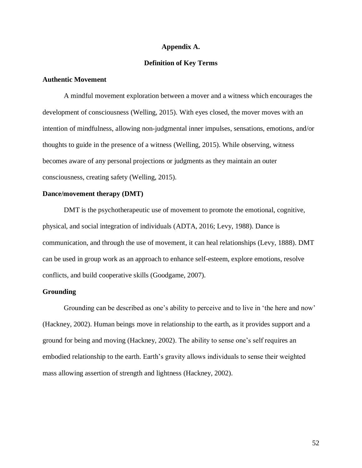### **Appendix A.**

### **Definition of Key Terms**

### **Authentic Movement**

A mindful movement exploration between a mover and a witness which encourages the development of consciousness (Welling, 2015). With eyes closed, the mover moves with an intention of mindfulness, allowing non-judgmental inner impulses, sensations, emotions, and/or thoughts to guide in the presence of a witness (Welling, 2015). While observing, witness becomes aware of any personal projections or judgments as they maintain an outer consciousness, creating safety (Welling, 2015).

## **Dance/movement therapy (DMT)**

DMT is the psychotherapeutic use of movement to promote the emotional, cognitive, physical, and social integration of individuals (ADTA, 2016; Levy, 1988). Dance is communication, and through the use of movement, it can heal relationships (Levy, 1888). DMT can be used in group work as an approach to enhance self-esteem, explore emotions, resolve conflicts, and build cooperative skills (Goodgame, 2007).

## **Grounding**

Grounding can be described as one's ability to perceive and to live in 'the here and now' (Hackney, 2002). Human beings move in relationship to the earth, as it provides support and a ground for being and moving (Hackney, 2002). The ability to sense one's self requires an embodied relationship to the earth. Earth's gravity allows individuals to sense their weighted mass allowing assertion of strength and lightness (Hackney, 2002).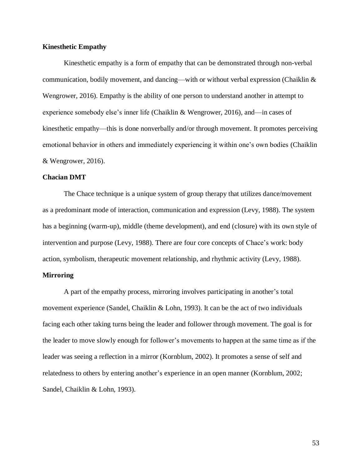### **Kinesthetic Empathy**

Kinesthetic empathy is a form of empathy that can be demonstrated through non-verbal communication, bodily movement, and dancing—with or without verbal expression (Chaiklin  $\&$ Wengrower, 2016). Empathy is the ability of one person to understand another in attempt to experience somebody else's inner life (Chaiklin & Wengrower, 2016), and—in cases of kinesthetic empathy—this is done nonverbally and/or through movement. It promotes perceiving emotional behavior in others and immediately experiencing it within one's own bodies (Chaiklin & Wengrower, 2016).

### **Chacian DMT**

The Chace technique is a unique system of group therapy that utilizes dance/movement as a predominant mode of interaction, communication and expression (Levy, 1988). The system has a beginning (warm-up), middle (theme development), and end (closure) with its own style of intervention and purpose (Levy, 1988). There are four core concepts of Chace's work: body action, symbolism, therapeutic movement relationship, and rhythmic activity (Levy, 1988).

## **Mirroring**

A part of the empathy process, mirroring involves participating in another's total movement experience (Sandel, Chaiklin & Lohn, 1993). It can be the act of two individuals facing each other taking turns being the leader and follower through movement. The goal is for the leader to move slowly enough for follower's movements to happen at the same time as if the leader was seeing a reflection in a mirror (Kornblum, 2002). It promotes a sense of self and relatedness to others by entering another's experience in an open manner (Kornblum, 2002; Sandel, Chaiklin & Lohn, 1993).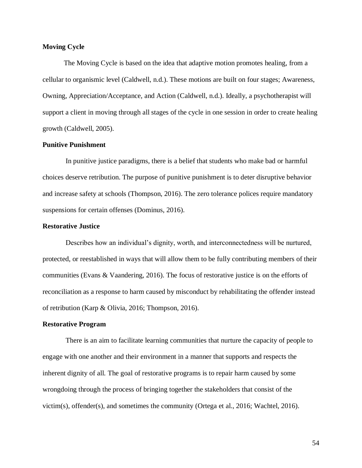## **Moving Cycle**

The Moving Cycle is based on the idea that adaptive motion promotes healing, from a cellular to organismic level (Caldwell, n.d.). These motions are built on four stages; Awareness, Owning, Appreciation/Acceptance, and Action (Caldwell, n.d.). Ideally, a psychotherapist will support a client in moving through all stages of the cycle in one session in order to create healing growth (Caldwell, 2005).

## **Punitive Punishment**

In punitive justice paradigms, there is a belief that students who make bad or harmful choices deserve retribution. The purpose of punitive punishment is to deter disruptive behavior and increase safety at schools (Thompson, 2016). The zero tolerance polices require mandatory suspensions for certain offenses (Dominus, 2016).

### **Restorative Justice**

Describes how an individual's dignity, worth, and interconnectedness will be nurtured, protected, or reestablished in ways that will allow them to be fully contributing members of their communities (Evans & Vaandering, 2016). The focus of restorative justice is on the efforts of reconciliation as a response to harm caused by misconduct by rehabilitating the offender instead of retribution (Karp & Olivia, 2016; Thompson, 2016).

#### **Restorative Program**

There is an aim to facilitate learning communities that nurture the capacity of people to engage with one another and their environment in a manner that supports and respects the inherent dignity of all. The goal of restorative programs is to repair harm caused by some wrongdoing through the process of bringing together the stakeholders that consist of the victim(s), offender(s), and sometimes the community (Ortega et al., 2016; Wachtel, 2016).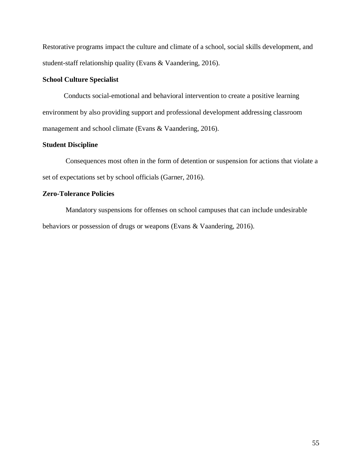Restorative programs impact the culture and climate of a school, social skills development, and student-staff relationship quality (Evans & Vaandering, 2016).

## **School Culture Specialist**

Conducts social-emotional and behavioral intervention to create a positive learning environment by also providing support and professional development addressing classroom management and school climate (Evans & Vaandering, 2016).

## **Student Discipline**

Consequences most often in the form of detention or suspension for actions that violate a set of expectations set by school officials (Garner, 2016).

## **Zero-Tolerance Policies**

Mandatory suspensions for offenses on school campuses that can include undesirable behaviors or possession of drugs or weapons (Evans & Vaandering, 2016).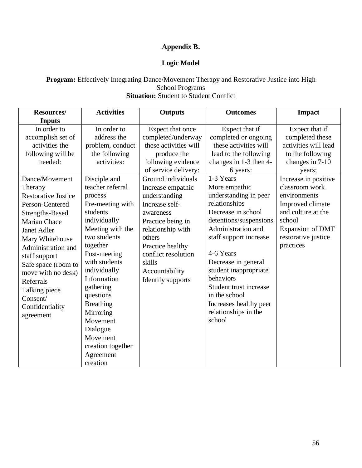# **Appendix B.**

# **Logic Model**

## **Program:** Effectively Integrating Dance/Movement Therapy and Restorative Justice into High School Programs **Situation:** Student to Student Conflict

| Resources/                                                                                                                                                                                                                                                                                                           | <b>Activities</b>                                                                                                                                                                                                                                                                                                                                        | <b>Outputs</b>                                                                                                                                                                                                                                 | <b>Outcomes</b>                                                                                                                                                                                                                                                                                                                          | <b>Impact</b>                                                                                                                                                             |
|----------------------------------------------------------------------------------------------------------------------------------------------------------------------------------------------------------------------------------------------------------------------------------------------------------------------|----------------------------------------------------------------------------------------------------------------------------------------------------------------------------------------------------------------------------------------------------------------------------------------------------------------------------------------------------------|------------------------------------------------------------------------------------------------------------------------------------------------------------------------------------------------------------------------------------------------|------------------------------------------------------------------------------------------------------------------------------------------------------------------------------------------------------------------------------------------------------------------------------------------------------------------------------------------|---------------------------------------------------------------------------------------------------------------------------------------------------------------------------|
| <b>Inputs</b>                                                                                                                                                                                                                                                                                                        |                                                                                                                                                                                                                                                                                                                                                          |                                                                                                                                                                                                                                                |                                                                                                                                                                                                                                                                                                                                          |                                                                                                                                                                           |
| In order to<br>accomplish set of<br>activities the<br>following will be<br>needed:                                                                                                                                                                                                                                   | In order to<br>address the<br>problem, conduct<br>the following<br>activities:                                                                                                                                                                                                                                                                           | Expect that once<br>completed/underway<br>these activities will<br>produce the<br>following evidence<br>of service delivery:                                                                                                                   | Expect that if<br>completed or ongoing<br>these activities will<br>lead to the following<br>changes in 1-3 then 4-<br>6 years:<br>1-3 Years                                                                                                                                                                                              | Expect that if<br>completed these<br>activities will lead<br>to the following<br>changes in 7-10<br>years;                                                                |
| Dance/Movement<br>Therapy<br><b>Restorative Justice</b><br>Person-Centered<br>Strengths-Based<br><b>Marian Chace</b><br>Janet Adler<br>Mary Whitehouse<br>Administration and<br>staff support<br>Safe space (room to<br>move with no desk)<br>Referrals<br>Talking piece<br>Consent/<br>Confidentiality<br>agreement | Disciple and<br>teacher referral<br>process<br>Pre-meeting with<br>students<br>individually<br>Meeting with the<br>two students<br>together<br>Post-meeting<br>with students<br>individually<br>Information<br>gathering<br>questions<br><b>Breathing</b><br>Mirroring<br>Movement<br>Dialogue<br>Movement<br>creation together<br>Agreement<br>creation | Ground individuals<br>Increase empathic<br>understanding<br>Increase self-<br>awareness<br>Practice being in<br>relationship with<br>others<br>Practice healthy<br>conflict resolution<br>skills<br>Accountability<br><b>Identify supports</b> | More empathic<br>understanding in peer<br>relationships<br>Decrease in school<br>detentions/suspensions<br>Administration and<br>staff support increase<br>4-6 Years<br>Decrease in general<br>student inappropriate<br>behaviors<br>Student trust increase<br>in the school<br>Increases healthy peer<br>relationships in the<br>school | Increase in positive<br>classroom work<br>environments<br>Improved climate<br>and culture at the<br>school<br><b>Expansion of DMT</b><br>restorative justice<br>practices |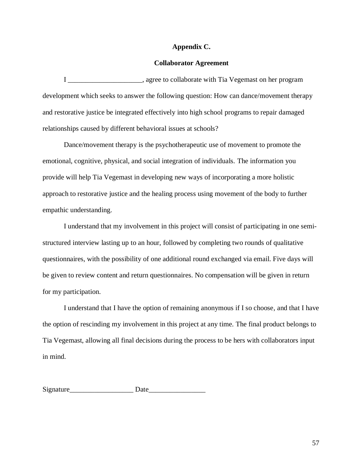## **Appendix C.**

### **Collaborator Agreement**

I \_\_\_\_\_\_\_\_\_\_\_\_\_\_\_\_\_\_\_\_\_, agree to collaborate with Tia Vegemast on her program development which seeks to answer the following question: How can dance/movement therapy and restorative justice be integrated effectively into high school programs to repair damaged relationships caused by different behavioral issues at schools?

Dance/movement therapy is the psychotherapeutic use of movement to promote the emotional, cognitive, physical, and social integration of individuals. The information you provide will help Tia Vegemast in developing new ways of incorporating a more holistic approach to restorative justice and the healing process using movement of the body to further empathic understanding.

I understand that my involvement in this project will consist of participating in one semistructured interview lasting up to an hour, followed by completing two rounds of qualitative questionnaires, with the possibility of one additional round exchanged via email. Five days will be given to review content and return questionnaires. No compensation will be given in return for my participation.

I understand that I have the option of remaining anonymous if I so choose, and that I have the option of rescinding my involvement in this project at any time. The final product belongs to Tia Vegemast, allowing all final decisions during the process to be hers with collaborators input in mind.

Signature Date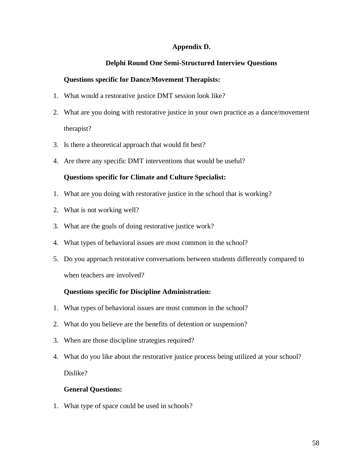## **Appendix D.**

## **Delphi Round One Semi-Structured Interview Questions**

## **Questions specific for Dance/Movement Therapists:**

- 1. What would a restorative justice DMT session look like?
- 2. What are you doing with restorative justice in your own practice as a dance/movement therapist?
- 3. Is there a theoretical approach that would fit best?
- 4. Are there any specific DMT interventions that would be useful?

## **Questions specific for Climate and Culture Specialist:**

- 1. What are you doing with restorative justice in the school that is working?
- 2. What is not working well?
- 3. What are the goals of doing restorative justice work?
- 4. What types of behavioral issues are most common in the school?
- 5. Do you approach restorative conversations between students differently compared to when teachers are involved?

## **Questions specific for Discipline Administration:**

- 1. What types of behavioral issues are most common in the school?
- 2. What do you believe are the benefits of detention or suspension?
- 3. When are those discipline strategies required?
- 4. What do you like about the restorative justice process being utilized at your school? Dislike?

## **General Questions:**

1. What type of space could be used in schools?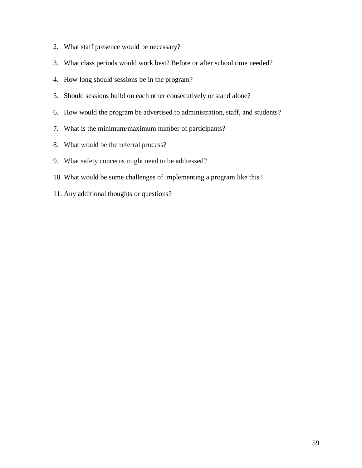- 2. What staff presence would be necessary?
- 3. What class periods would work best? Before or after school time needed?
- 4. How long should sessions be in the program?
- 5. Should sessions build on each other consecutively or stand alone?
- 6. How would the program be advertised to administration, staff, and students?
- 7. What is the minimum/maximum number of participants?
- 8. What would be the referral process?
- 9. What safety concerns might need to be addressed?
- 10. What would be some challenges of implementing a program like this?
- 11. Any additional thoughts or questions?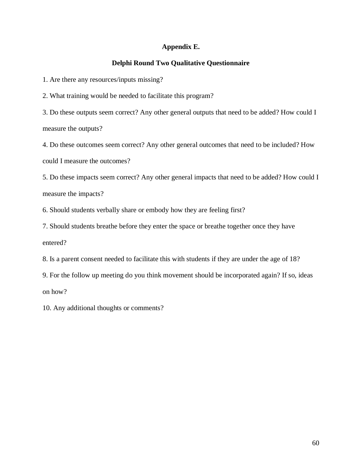## **Appendix E.**

## **Delphi Round Two Qualitative Questionnaire**

1. Are there any resources/inputs missing?

2. What training would be needed to facilitate this program?

3. Do these outputs seem correct? Any other general outputs that need to be added? How could I measure the outputs?

4. Do these outcomes seem correct? Any other general outcomes that need to be included? How could I measure the outcomes?

5. Do these impacts seem correct? Any other general impacts that need to be added? How could I measure the impacts?

6. Should students verbally share or embody how they are feeling first?

7. Should students breathe before they enter the space or breathe together once they have entered?

8. Is a parent consent needed to facilitate this with students if they are under the age of 18?

9. For the follow up meeting do you think movement should be incorporated again? If so, ideas on how?

10. Any additional thoughts or comments?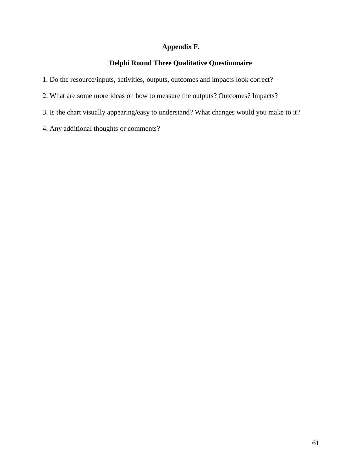# **Appendix F.**

# **Delphi Round Three Qualitative Questionnaire**

- 1. Do the resource/inputs, activities, outputs, outcomes and impacts look correct?
- 2. What are some more ideas on how to measure the outputs? Outcomes? Impacts?
- 3. Is the chart visually appearing/easy to understand? What changes would you make to it?
- 4. Any additional thoughts or comments?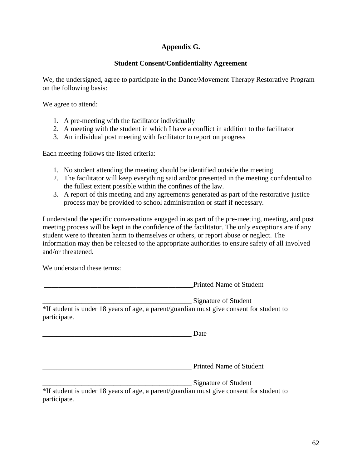# **Appendix G.**

## **Student Consent/Confidentiality Agreement**

We, the undersigned, agree to participate in the Dance/Movement Therapy Restorative Program on the following basis:

We agree to attend:

- 1. A pre-meeting with the facilitator individually
- 2. A meeting with the student in which I have a conflict in addition to the facilitator
- 3. An individual post meeting with facilitator to report on progress

Each meeting follows the listed criteria:

- 1. No student attending the meeting should be identified outside the meeting
- 2. The facilitator will keep everything said and/or presented in the meeting confidential to the fullest extent possible within the confines of the law.
- 3. A report of this meeting and any agreements generated as part of the restorative justice process may be provided to school administration or staff if necessary.

I understand the specific conversations engaged in as part of the pre-meeting, meeting, and post meeting process will be kept in the confidence of the facilitator. The only exceptions are if any student were to threaten harm to themselves or others, or report abuse or neglect. The information may then be released to the appropriate authorities to ensure safety of all involved and/or threatened.

We understand these terms:

Printed Name of Student

\_\_\_\_\_\_\_\_\_\_\_\_\_\_\_\_\_\_\_\_\_\_\_\_\_\_\_\_\_\_\_\_\_\_\_\_\_\_\_\_\_\_ Signature of Student

\*If student is under 18 years of age, a parent/guardian must give consent for student to participate.

\_\_\_\_\_\_\_\_\_\_\_\_\_\_\_\_\_\_\_\_\_\_\_\_\_\_\_\_\_\_\_\_\_\_\_\_\_\_\_\_\_\_ Date

\_\_\_\_\_\_\_\_\_\_\_\_\_\_\_\_\_\_\_\_\_\_\_\_\_\_\_\_\_\_\_\_\_\_\_\_\_\_\_\_\_\_ Printed Name of Student

Signature of Student

\*If student is under 18 years of age, a parent/guardian must give consent for student to participate.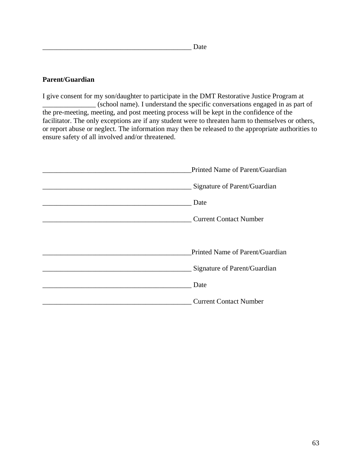## **Parent/Guardian**

I give consent for my son/daughter to participate in the DMT Restorative Justice Program at \_\_\_\_\_\_\_\_\_\_\_\_\_\_\_ (school name). I understand the specific conversations engaged in as part of the pre-meeting, meeting, and post meeting process will be kept in the confidence of the facilitator. The only exceptions are if any student were to threaten harm to themselves or others, or report abuse or neglect. The information may then be released to the appropriate authorities to ensure safety of all involved and/or threatened.

| Printed Name of Parent/Guardian |  |
|---------------------------------|--|
| Signature of Parent/Guardian    |  |
| Date                            |  |
| <b>Current Contact Number</b>   |  |
|                                 |  |
| Printed Name of Parent/Guardian |  |
| Signature of Parent/Guardian    |  |
| Date                            |  |
| <b>Current Contact Number</b>   |  |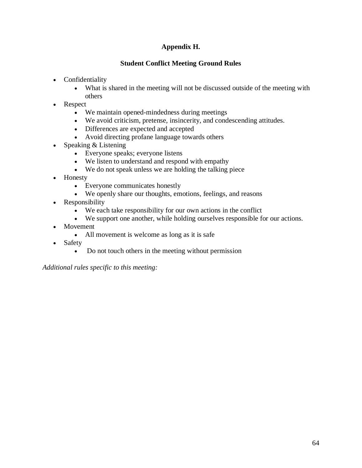# **Appendix H.**

# **Student Conflict Meeting Ground Rules**

- Confidentiality
	- What is shared in the meeting will not be discussed outside of the meeting with others
- Respect
	- We maintain opened-mindedness during meetings
	- We avoid criticism, pretense, insincerity, and condescending attitudes.
	- Differences are expected and accepted
	- Avoid directing profane language towards others
- Speaking & Listening
	- Everyone speaks; everyone listens
	- We listen to understand and respond with empathy
	- We do not speak unless we are holding the talking piece
- Honesty
	- Everyone communicates honestly
	- We openly share our thoughts, emotions, feelings, and reasons
- Responsibility
	- We each take responsibility for our own actions in the conflict
	- We support one another, while holding ourselves responsible for our actions.
- **Movement** 
	- All movement is welcome as long as it is safe
- Safety
	- Do not touch others in the meeting without permission

*Additional rules specific to this meeting:*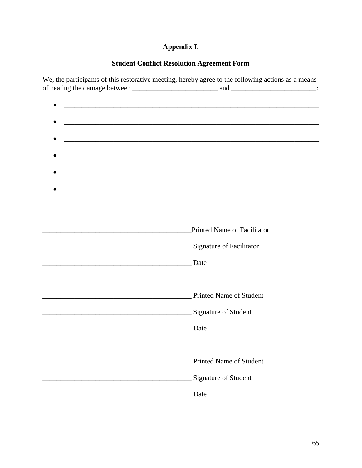# Appendix I.

# **Student Conflict Resolution Agreement Form**

We, the participants of this restorative meeting, hereby agree to the following actions as a means 

|                                                                                                                  | ,我们也不会有什么。""我们的人,我们也不会有什么?""我们的人,我们也不会有什么?""我们的人,我们也不会有什么?""我们的人,我们也不会有什么?""我们的人 |
|------------------------------------------------------------------------------------------------------------------|----------------------------------------------------------------------------------|
|                                                                                                                  |                                                                                  |
| and the control of the control of the control of the control of the control of the control of the control of the |                                                                                  |
|                                                                                                                  |                                                                                  |
|                                                                                                                  |                                                                                  |
|                                                                                                                  |                                                                                  |
|                                                                                                                  |                                                                                  |
|                                                                                                                  | Printed Name of Facilitator                                                      |
| Signature of Facilitator                                                                                         |                                                                                  |
| Date                                                                                                             |                                                                                  |
|                                                                                                                  |                                                                                  |
|                                                                                                                  | <b>Printed Name of Student</b>                                                   |
| Signature of Student                                                                                             |                                                                                  |
|                                                                                                                  | Date                                                                             |
|                                                                                                                  |                                                                                  |
|                                                                                                                  |                                                                                  |
|                                                                                                                  | <b>Printed Name of Student</b>                                                   |
|                                                                                                                  | Signature of Student                                                             |
|                                                                                                                  | Date                                                                             |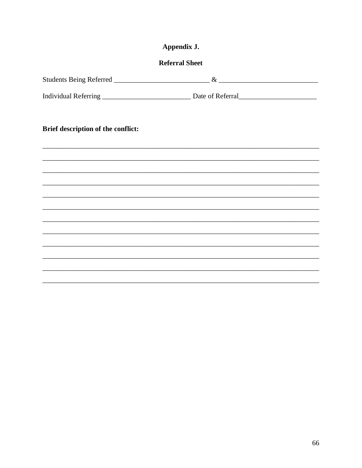| Appendix J.<br><b>Referral Sheet</b> |                                                                                  |  |  |  |  |
|--------------------------------------|----------------------------------------------------------------------------------|--|--|--|--|
|                                      |                                                                                  |  |  |  |  |
|                                      |                                                                                  |  |  |  |  |
| Brief description of the conflict:   |                                                                                  |  |  |  |  |
|                                      |                                                                                  |  |  |  |  |
|                                      |                                                                                  |  |  |  |  |
|                                      |                                                                                  |  |  |  |  |
|                                      |                                                                                  |  |  |  |  |
|                                      |                                                                                  |  |  |  |  |
|                                      |                                                                                  |  |  |  |  |
|                                      |                                                                                  |  |  |  |  |
|                                      | ,我们也不能会在这里,我们的人们就会不能会在这里,我们也不能会不能会不能会不能会不能会不能会不能会。""我们的人们就会不能会不能会不能会不能会不能会不能会不能会 |  |  |  |  |
|                                      |                                                                                  |  |  |  |  |
|                                      |                                                                                  |  |  |  |  |
|                                      |                                                                                  |  |  |  |  |